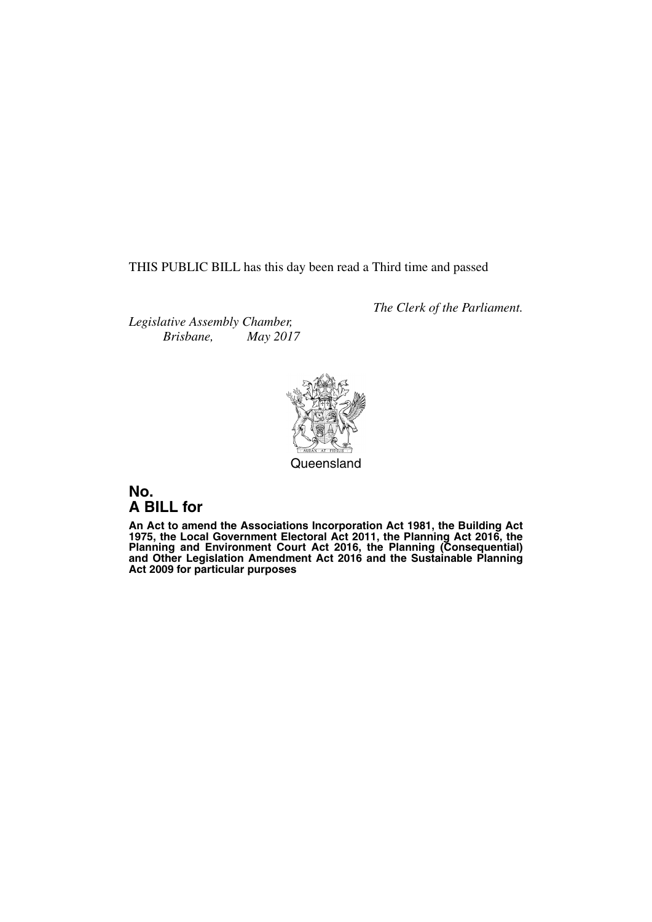THIS PUBLIC BILL has this day been read a Third time and passed

*The Clerk of the Parliament.*

*Legislative Assembly Chamber, Brisbane, May 2017*



Queensland

# **No. A BILL for**

**An Act to amend the Associations Incorporation Act 1981, the Building Act 1975, the Local Government Electoral Act 2011, the Planning Act 2016, the Planning and Environment Court Act 2016, the Planning (Consequential) and Other Legislation Amendment Act 2016 and the Sustainable Planning Act 2009 for particular purposes**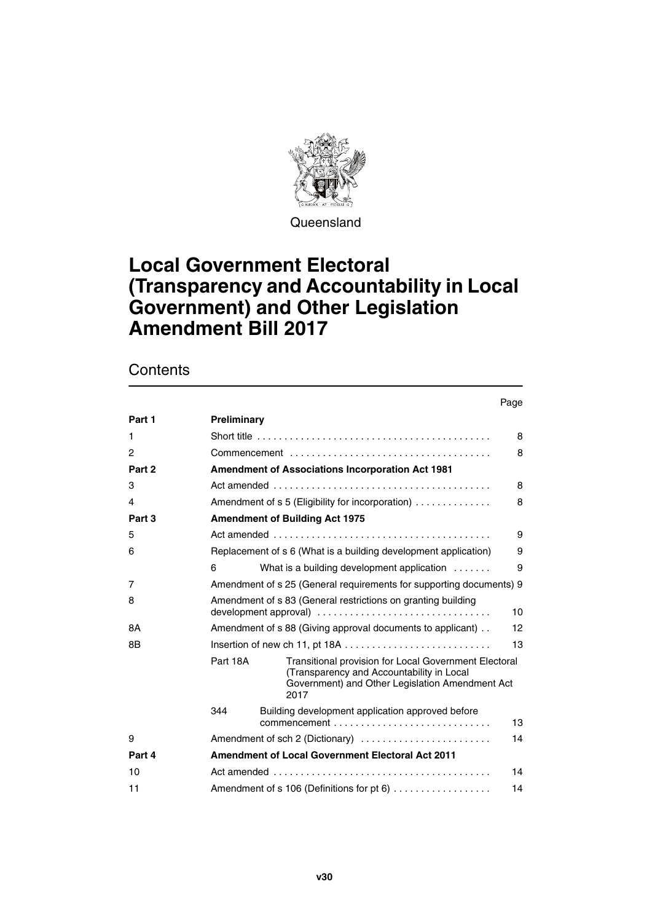

**Queensland** 

# **Local Government Electoral (Transparency and Accountability in Local Government) and Other Legislation Amendment Bill 2017**

# **Contents**

#### Page

| Part 1 | Preliminary                                                                                       |                                                                                                                                                               |    |  |  |
|--------|---------------------------------------------------------------------------------------------------|---------------------------------------------------------------------------------------------------------------------------------------------------------------|----|--|--|
| 1      | Short title $\ldots \ldots \ldots \ldots \ldots \ldots \ldots \ldots \ldots \ldots \ldots \ldots$ |                                                                                                                                                               |    |  |  |
| 2      |                                                                                                   |                                                                                                                                                               |    |  |  |
| Part 2 | <b>Amendment of Associations Incorporation Act 1981</b>                                           |                                                                                                                                                               |    |  |  |
| 3      |                                                                                                   |                                                                                                                                                               |    |  |  |
| 4      | Amendment of s 5 (Eligibility for incorporation)<br>8                                             |                                                                                                                                                               |    |  |  |
| Part 3 | <b>Amendment of Building Act 1975</b>                                                             |                                                                                                                                                               |    |  |  |
| 5      | 9                                                                                                 |                                                                                                                                                               |    |  |  |
| 6      | Replacement of s 6 (What is a building development application)                                   |                                                                                                                                                               |    |  |  |
|        | 6                                                                                                 | What is a building development application                                                                                                                    | 9  |  |  |
| 7      | Amendment of s 25 (General requirements for supporting documents) 9                               |                                                                                                                                                               |    |  |  |
| 8      | Amendment of s 83 (General restrictions on granting building<br>10                                |                                                                                                                                                               |    |  |  |
| 8A     | Amendment of s 88 (Giving approval documents to applicant).<br>$12 \overline{ }$                  |                                                                                                                                                               |    |  |  |
| 8B     |                                                                                                   |                                                                                                                                                               | 13 |  |  |
|        | Part 18A                                                                                          | Transitional provision for Local Government Electoral<br>(Transparency and Accountability in Local<br>Government) and Other Legislation Amendment Act<br>2017 |    |  |  |
|        | 344                                                                                               | Building development application approved before                                                                                                              | 13 |  |  |
| 9      | Amendment of sch 2 (Dictionary)                                                                   |                                                                                                                                                               | 14 |  |  |
| Part 4 |                                                                                                   | <b>Amendment of Local Government Electoral Act 2011</b>                                                                                                       |    |  |  |
| 10     | 14                                                                                                |                                                                                                                                                               |    |  |  |
| 11     | Amendment of s 106 (Definitions for pt 6)<br>14                                                   |                                                                                                                                                               |    |  |  |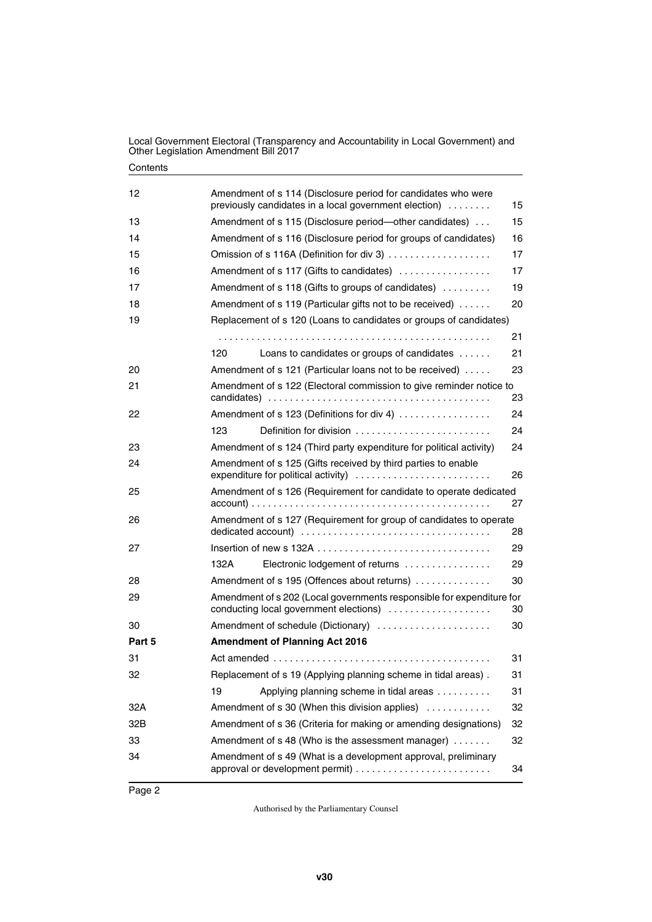| 12     | Amendment of s 114 (Disclosure period for candidates who were<br>previously candidates in a local government election) | 15 |  |  |
|--------|------------------------------------------------------------------------------------------------------------------------|----|--|--|
| 13     | Amendment of s 115 (Disclosure period--other candidates)                                                               | 15 |  |  |
| 14     | Amendment of s 116 (Disclosure period for groups of candidates)                                                        | 16 |  |  |
| 15     | Omission of s 116A (Definition for div 3)                                                                              | 17 |  |  |
| 16     | Amendment of s 117 (Gifts to candidates)                                                                               | 17 |  |  |
| 17     | Amendment of s 118 (Gifts to groups of candidates)                                                                     | 19 |  |  |
| 18     | Amendment of s 119 (Particular gifts not to be received)                                                               | 20 |  |  |
| 19     | Replacement of s 120 (Loans to candidates or groups of candidates)                                                     |    |  |  |
|        |                                                                                                                        | 21 |  |  |
|        | 120<br>Loans to candidates or groups of candidates                                                                     | 21 |  |  |
| 20     | Amendment of s 121 (Particular loans not to be received)                                                               | 23 |  |  |
| 21     | Amendment of s 122 (Electoral commission to give reminder notice to                                                    |    |  |  |
|        |                                                                                                                        | 23 |  |  |
| 22     | Amendment of s 123 (Definitions for div 4)                                                                             | 24 |  |  |
|        | 123<br>Definition for division                                                                                         | 24 |  |  |
| 23     | Amendment of s 124 (Third party expenditure for political activity)                                                    | 24 |  |  |
| 24     | Amendment of s 125 (Gifts received by third parties to enable<br>expenditure for political activity)                   | 26 |  |  |
| 25     | Amendment of s 126 (Requirement for candidate to operate dedicated                                                     | 27 |  |  |
| 26     | Amendment of s 127 (Requirement for group of candidates to operate                                                     | 28 |  |  |
| 27     |                                                                                                                        | 29 |  |  |
|        | 132A<br>Electronic lodgement of returns                                                                                | 29 |  |  |
| 28     | Amendment of s 195 (Offences about returns)                                                                            | 30 |  |  |
| 29     | Amendment of s 202 (Local governments responsible for expenditure for<br>conducting local government elections)        | 30 |  |  |
| 30     | Amendment of schedule (Dictionary)                                                                                     | 30 |  |  |
| Part 5 | <b>Amendment of Planning Act 2016</b>                                                                                  |    |  |  |
| 31     |                                                                                                                        | 31 |  |  |
| 32     | Replacement of s 19 (Applying planning scheme in tidal areas).                                                         | 31 |  |  |
|        | 19<br>Applying planning scheme in tidal areas                                                                          | 31 |  |  |
| 32A    | Amendment of s 30 (When this division applies)                                                                         | 32 |  |  |
| 32B    | Amendment of s 36 (Criteria for making or amending designations)<br>32                                                 |    |  |  |
| 33     | Amendment of s 48 (Who is the assessment manager)                                                                      | 32 |  |  |
| 34     | Amendment of s 49 (What is a development approval, preliminary                                                         | 34 |  |  |
|        |                                                                                                                        |    |  |  |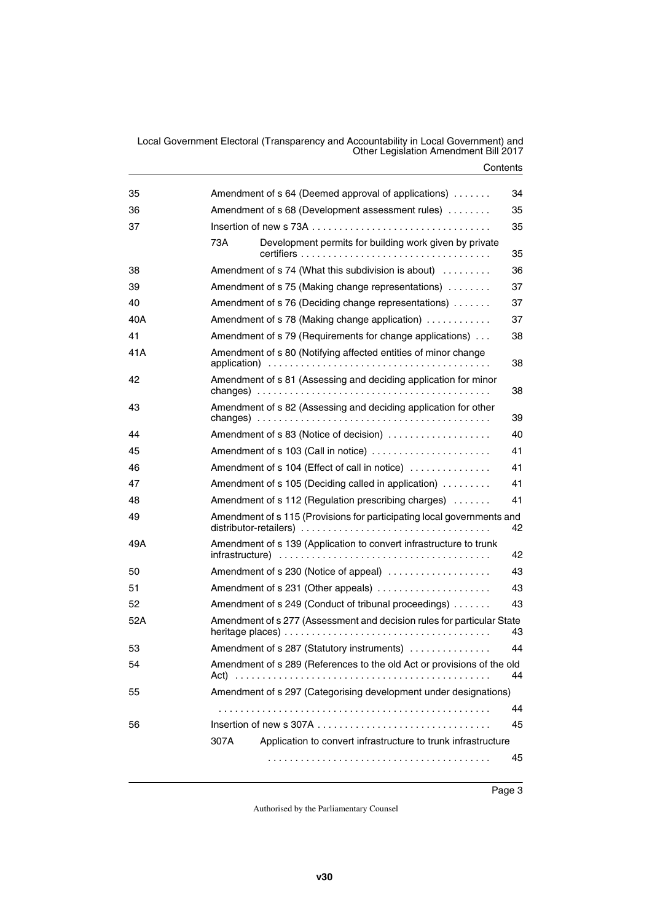#### **Contents**

| 35  | Amendment of s 64 (Deemed approval of applications)                                                                                                               | 34 |  |
|-----|-------------------------------------------------------------------------------------------------------------------------------------------------------------------|----|--|
| 36  | Amendment of s 68 (Development assessment rules)<br>35                                                                                                            |    |  |
| 37  |                                                                                                                                                                   | 35 |  |
|     | 73A<br>Development permits for building work given by private                                                                                                     | 35 |  |
| 38  | Amendment of s 74 (What this subdivision is about)                                                                                                                | 36 |  |
| 39  | Amendment of s 75 (Making change representations)                                                                                                                 | 37 |  |
| 40  | Amendment of s 76 (Deciding change representations)                                                                                                               | 37 |  |
| 40A | Amendment of s 78 (Making change application)                                                                                                                     | 37 |  |
| 41  | Amendment of s 79 (Requirements for change applications)                                                                                                          | 38 |  |
| 41A | Amendment of s 80 (Notifying affected entities of minor change                                                                                                    | 38 |  |
| 42  | Amendment of s 81 (Assessing and deciding application for minor                                                                                                   | 38 |  |
| 43  | Amendment of s 82 (Assessing and deciding application for other<br>changes) $\ldots \ldots \ldots \ldots \ldots \ldots \ldots \ldots \ldots \ldots \ldots \ldots$ | 39 |  |
| 44  | Amendment of s 83 (Notice of decision)                                                                                                                            | 40 |  |
| 45  | Amendment of s 103 (Call in notice)                                                                                                                               | 41 |  |
| 46  | Amendment of s 104 (Effect of call in notice)                                                                                                                     | 41 |  |
| 47  | Amendment of s 105 (Deciding called in application)                                                                                                               | 41 |  |
| 48  | Amendment of s 112 (Regulation prescribing charges)                                                                                                               | 41 |  |
| 49  | Amendment of s 115 (Provisions for participating local governments and                                                                                            | 42 |  |
| 49A | Amendment of s 139 (Application to convert infrastructure to trunk                                                                                                | 42 |  |
| 50  | Amendment of s 230 (Notice of appeal)                                                                                                                             | 43 |  |
| 51  | Amendment of s 231 (Other appeals)                                                                                                                                | 43 |  |
| 52  | Amendment of s 249 (Conduct of tribunal proceedings)                                                                                                              | 43 |  |
| 52A | Amendment of s 277 (Assessment and decision rules for particular State                                                                                            | 43 |  |
| 53  | Amendment of s 287 (Statutory instruments)                                                                                                                        | 44 |  |
| 54  | Amendment of s 289 (References to the old Act or provisions of the old<br>Act).                                                                                   | 44 |  |
| 55  | Amendment of s 297 (Categorising development under designations)                                                                                                  |    |  |
|     |                                                                                                                                                                   | 44 |  |
| 56  |                                                                                                                                                                   | 45 |  |
|     | Application to convert infrastructure to trunk infrastructure<br>307A                                                                                             |    |  |
|     |                                                                                                                                                                   | 45 |  |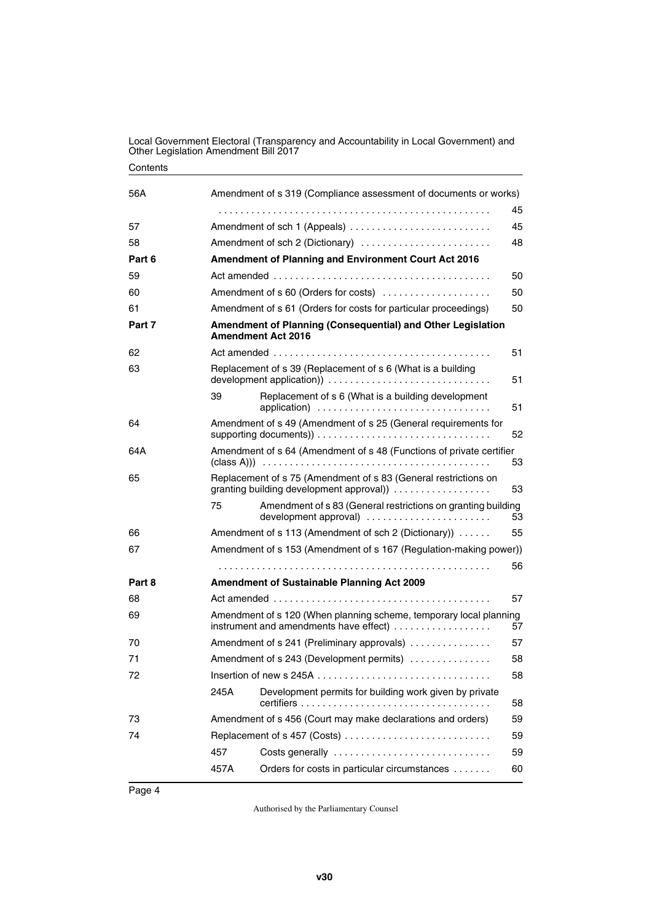#### **Contents**

| 56A    | Amendment of s 319 (Compliance assessment of documents or works)                                                   |                                                                                                            |    |  |
|--------|--------------------------------------------------------------------------------------------------------------------|------------------------------------------------------------------------------------------------------------|----|--|
|        |                                                                                                                    |                                                                                                            | 45 |  |
| 57     | 45                                                                                                                 |                                                                                                            |    |  |
| 58     | Amendment of sch 2 (Dictionary)<br>48                                                                              |                                                                                                            |    |  |
| Part 6 | <b>Amendment of Planning and Environment Court Act 2016</b>                                                        |                                                                                                            |    |  |
| 59     |                                                                                                                    |                                                                                                            | 50 |  |
| 60     | Amendment of s 60 (Orders for costs)<br>50                                                                         |                                                                                                            |    |  |
| 61     | Amendment of s 61 (Orders for costs for particular proceedings)<br>50                                              |                                                                                                            |    |  |
| Part 7 | Amendment of Planning (Consequential) and Other Legislation<br><b>Amendment Act 2016</b>                           |                                                                                                            |    |  |
| 62     | 51                                                                                                                 |                                                                                                            |    |  |
| 63     |                                                                                                                    | Replacement of s 39 (Replacement of s 6 (What is a building                                                | 51 |  |
|        | 39                                                                                                                 | Replacement of s 6 (What is a building development<br>application)                                         | 51 |  |
| 64     |                                                                                                                    | Amendment of s 49 (Amendment of s 25 (General requirements for                                             | 52 |  |
| 64A    | Amendment of s 64 (Amendment of s 48 (Functions of private certifier                                               |                                                                                                            | 53 |  |
| 65     |                                                                                                                    | Replacement of s 75 (Amendment of s 83 (General restrictions on<br>granting building development approval) | 53 |  |
|        | 75                                                                                                                 | Amendment of s 83 (General restrictions on granting building<br>development approval)                      | 53 |  |
| 66     |                                                                                                                    | Amendment of s 113 (Amendment of sch 2 (Dictionary))                                                       | 55 |  |
| 67     | Amendment of s 153 (Amendment of s 167 (Regulation-making power))                                                  |                                                                                                            |    |  |
|        |                                                                                                                    |                                                                                                            | 56 |  |
| Part 8 |                                                                                                                    | <b>Amendment of Sustainable Planning Act 2009</b>                                                          |    |  |
| 68     |                                                                                                                    |                                                                                                            | 57 |  |
| 69     | Amendment of s 120 (When planning scheme, temporary local planning<br>instrument and amendments have effect)<br>57 |                                                                                                            |    |  |
| 70     | Amendment of s 241 (Preliminary approvals)                                                                         |                                                                                                            | 57 |  |
| 71     | Amendment of s 243 (Development permits)                                                                           |                                                                                                            | 58 |  |
| 72     |                                                                                                                    |                                                                                                            | 58 |  |
|        | 245A                                                                                                               | Development permits for building work given by private                                                     | 58 |  |
| 73     | Amendment of s 456 (Court may make declarations and orders)                                                        |                                                                                                            | 59 |  |
| 74     |                                                                                                                    | Replacement of s 457 (Costs)                                                                               | 59 |  |
|        | 457                                                                                                                | Costs generally                                                                                            | 59 |  |
|        | 457A                                                                                                               | Orders for costs in particular circumstances                                                               | 60 |  |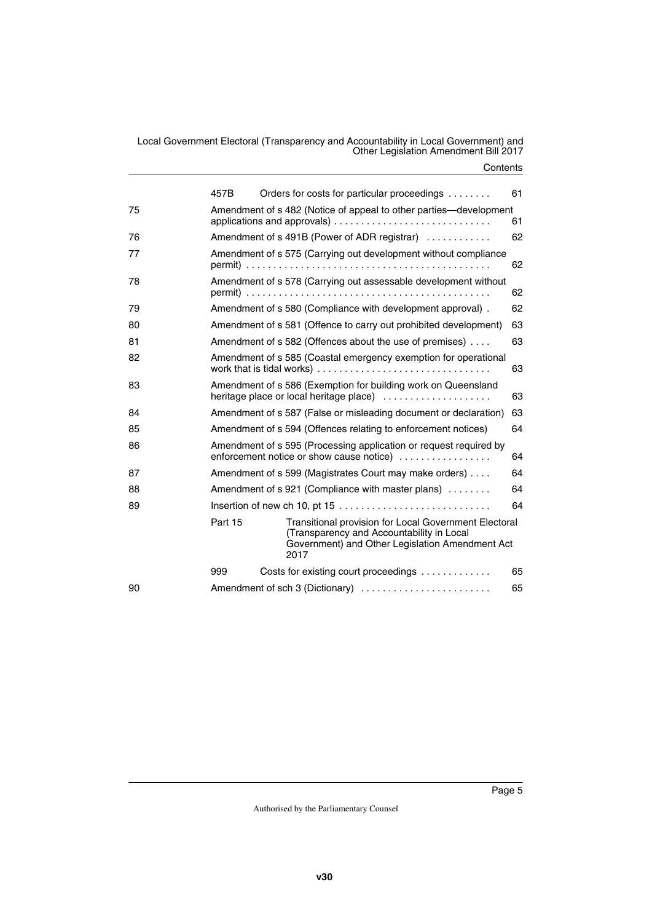#### **Contents**

|    | 457B                                                                                                          |      |  |    | Orders for costs for particular proceedings                                                                                                           | 61 |
|----|---------------------------------------------------------------------------------------------------------------|------|--|----|-------------------------------------------------------------------------------------------------------------------------------------------------------|----|
| 75 | Amendment of s 482 (Notice of appeal to other parties—development                                             |      |  |    |                                                                                                                                                       | 61 |
| 76 | Amendment of s 491B (Power of ADR registrar)                                                                  |      |  |    | 62                                                                                                                                                    |    |
| 77 | Amendment of s 575 (Carrying out development without compliance                                               |      |  |    | 62                                                                                                                                                    |    |
| 78 | Amendment of s 578 (Carrying out assessable development without                                               |      |  |    |                                                                                                                                                       | 62 |
| 79 |                                                                                                               |      |  |    | Amendment of s 580 (Compliance with development approval).                                                                                            | 62 |
| 80 |                                                                                                               |      |  |    | Amendment of s 581 (Offence to carry out prohibited development)                                                                                      | 63 |
| 81 | Amendment of s 582 (Offences about the use of premises)                                                       |      |  |    | 63                                                                                                                                                    |    |
| 82 | Amendment of s 585 (Coastal emergency exemption for operational                                               |      |  |    | 63                                                                                                                                                    |    |
| 83 | Amendment of s 586 (Exemption for building work on Queensland<br>heritage place or local heritage place)      |      |  |    | 63                                                                                                                                                    |    |
| 84 | Amendment of s 587 (False or misleading document or declaration)                                              |      |  |    | 63                                                                                                                                                    |    |
| 85 | Amendment of s 594 (Offences relating to enforcement notices)                                                 |      |  |    | 64                                                                                                                                                    |    |
| 86 | Amendment of s 595 (Processing application or request required by<br>enforcement notice or show cause notice) |      |  |    | 64                                                                                                                                                    |    |
| 87 | Amendment of s 599 (Magistrates Court may make orders)                                                        |      |  |    | 64                                                                                                                                                    |    |
| 88 | Amendment of s 921 (Compliance with master plans)                                                             |      |  |    | 64                                                                                                                                                    |    |
| 89 |                                                                                                               |      |  | 64 |                                                                                                                                                       |    |
|    | Part 15                                                                                                       | 2017 |  |    | Transitional provision for Local Government Electoral<br>(Transparency and Accountability in Local<br>Government) and Other Legislation Amendment Act |    |
|    | 999                                                                                                           |      |  |    | Costs for existing court proceedings                                                                                                                  | 65 |
| 90 |                                                                                                               |      |  |    | Amendment of sch 3 (Dictionary)                                                                                                                       | 65 |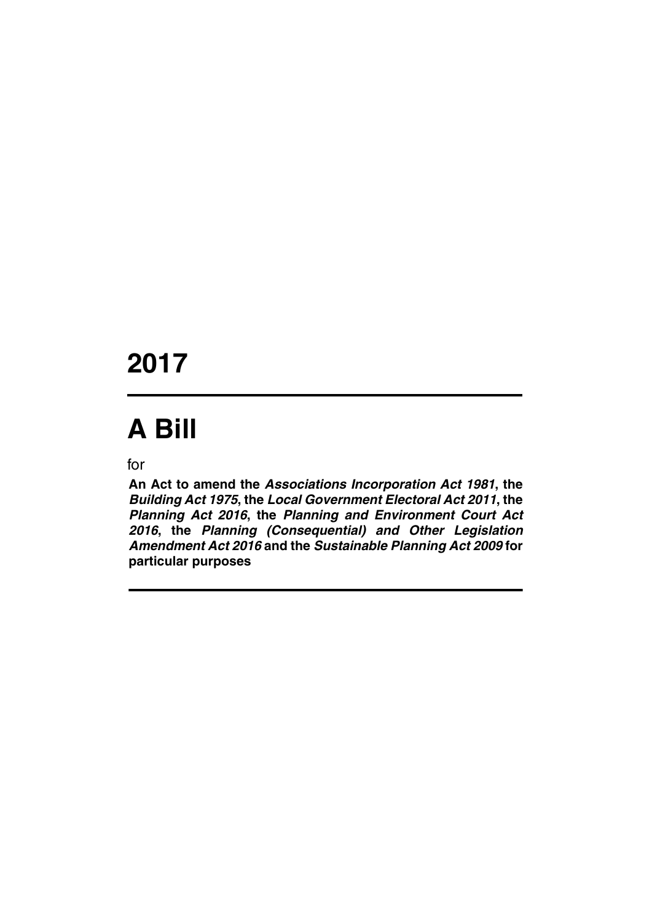# **2017**

# **A Bill**

for

**An Act to amend the** *Associations Incorporation Act 1981***, the** *Building Act 1975***, the** *Local Government Electoral Act 2011***, the** *Planning Act 2016***, the** *Planning and Environment Court Act 2016***, the** *Planning (Consequential) and Other Legislation Amendment Act 2016* **and the** *Sustainable Planning Act 2009* **for particular purposes**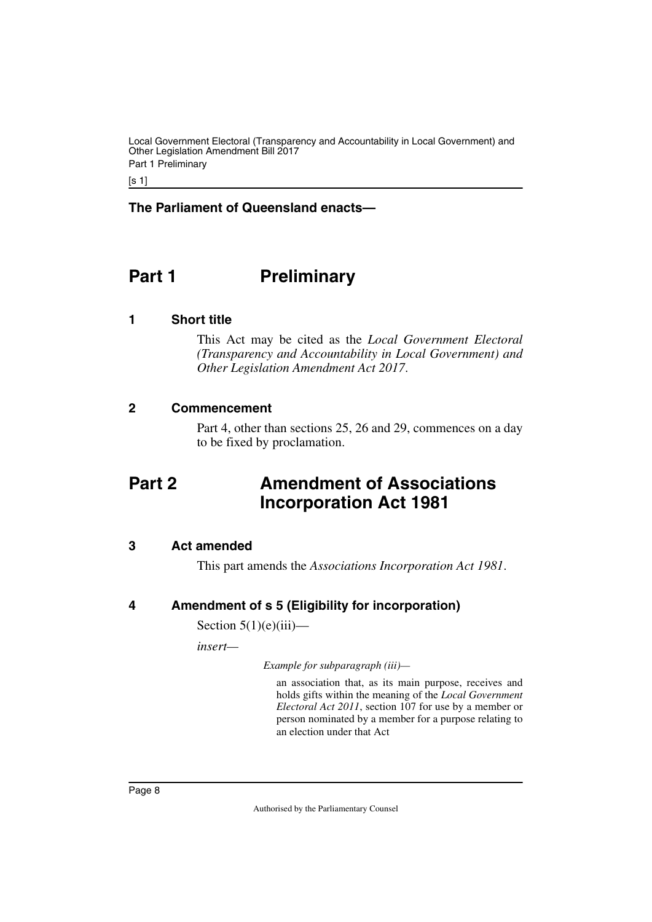[s 1]

# **The Parliament of Queensland enacts—**

# <span id="page-9-0"></span>**Part 1** Preliminary

# <span id="page-9-2"></span>**1 Short title**

<span id="page-9-3"></span><span id="page-9-1"></span>This Act may be cited as the *Local Government Electoral (Transparency and Accountability in Local Government) and Other Legislation Amendment Act 2017*.

# <span id="page-9-4"></span>**2 Commencement**

<span id="page-9-7"></span><span id="page-9-5"></span>Part 4, other than sections 25, 26 and 29, commences on a day to be fixed by proclamation.

# <span id="page-9-6"></span>**Part 2 Amendment of Associations Incorporation Act 1981**

# <span id="page-9-8"></span>**3 Act amended**

<span id="page-9-11"></span><span id="page-9-9"></span>This part amends the *Associations Incorporation Act 1981*.

# <span id="page-9-10"></span>**4 Amendment of s 5 (Eligibility for incorporation)**

Section  $5(1)(e)(iii)$ —

*insert—*

*Example for subparagraph (iii)—*

an association that, as its main purpose, receives and holds gifts within the meaning of the *Local Government Electoral Act 2011*, section 107 for use by a member or person nominated by a member for a purpose relating to an election under that Act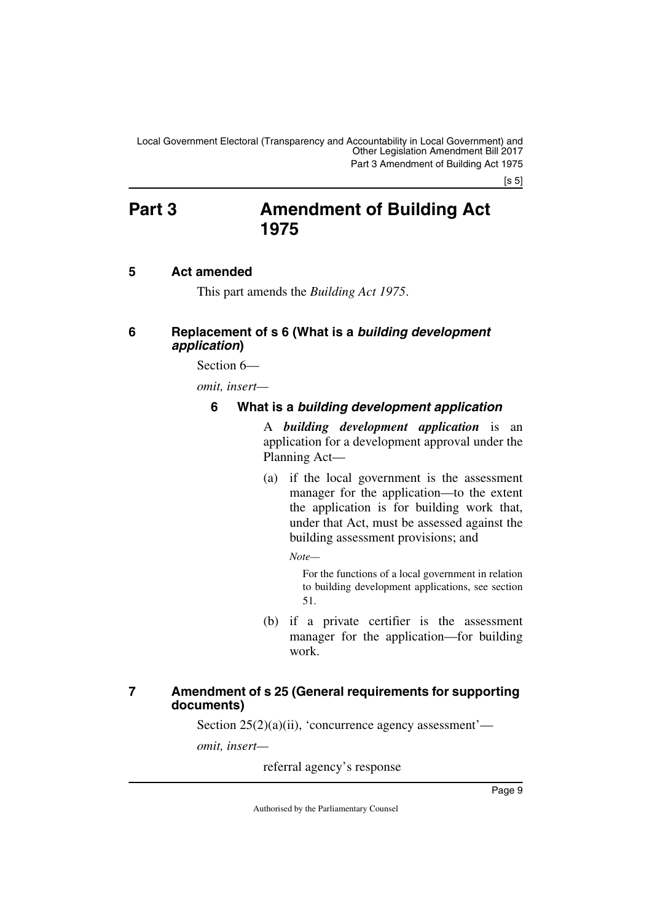[s 5]

# <span id="page-10-0"></span>**Part 3 Amendment of Building Act 1975**

# <span id="page-10-2"></span>**5 Act amended**

<span id="page-10-5"></span><span id="page-10-3"></span><span id="page-10-1"></span>This part amends the *Building Act 1975*.

# <span id="page-10-4"></span>**6 Replacement of s 6 (What is a** *building development application***)**

Section 6—

*omit, insert—*

# <span id="page-10-7"></span><span id="page-10-6"></span>**6 What is a** *building development application*

A *building development application* is an application for a development approval under the Planning Act—

(a) if the local government is the assessment manager for the application—to the extent the application is for building work that, under that Act, must be assessed against the building assessment provisions; and

*Note—*

For the functions of a local government in relation to building development applications, see section 51.

(b) if a private certifier is the assessment manager for the application—for building work.

# <span id="page-10-9"></span><span id="page-10-8"></span>**7 Amendment of s 25 (General requirements for supporting documents)**

Section  $25(2)(a)(ii)$ , 'concurrence agency assessment'—

*omit, insert—*

referral agency's response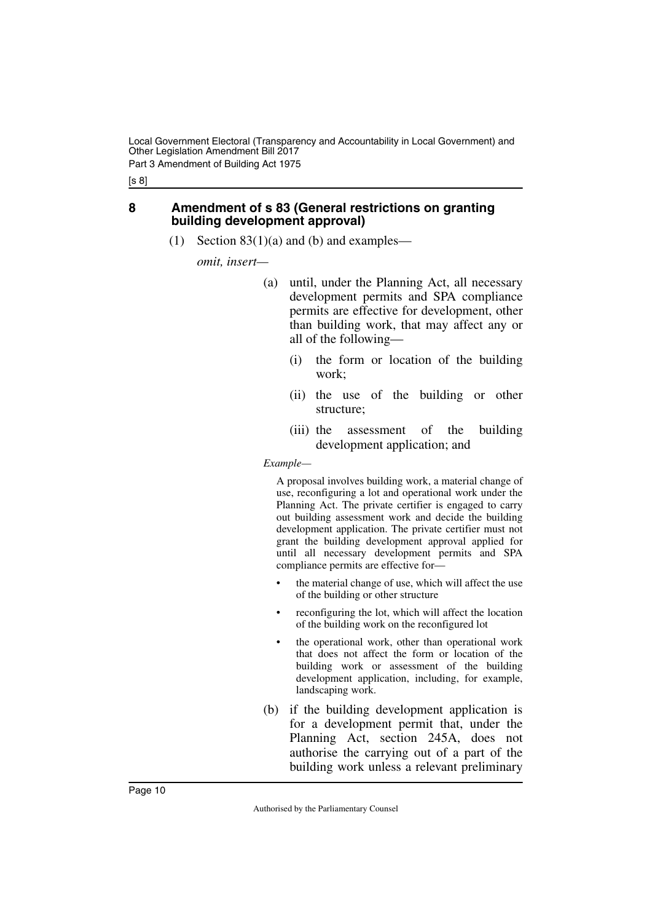[s 8]

# <span id="page-11-0"></span>**8 Amendment of s 83 (General restrictions on granting building development approval)**

<span id="page-11-1"></span>(1) Section  $83(1)(a)$  and (b) and examples—

*omit, insert—*

- (a) until, under the Planning Act, all necessary development permits and SPA compliance permits are effective for development, other than building work, that may affect any or all of the following—
	- (i) the form or location of the building work;
	- (ii) the use of the building or other structure;
	- (iii) the assessment of the building development application; and

*Example—*

A proposal involves building work, a material change of use, reconfiguring a lot and operational work under the Planning Act. The private certifier is engaged to carry out building assessment work and decide the building development application. The private certifier must not grant the building development approval applied for until all necessary development permits and SPA compliance permits are effective for—

- the material change of use, which will affect the use of the building or other structure
- reconfiguring the lot, which will affect the location of the building work on the reconfigured lot
- the operational work, other than operational work that does not affect the form or location of the building work or assessment of the building development application, including, for example, landscaping work.
- (b) if the building development application is for a development permit that, under the Planning Act, section 245A, does not authorise the carrying out of a part of the building work unless a relevant preliminary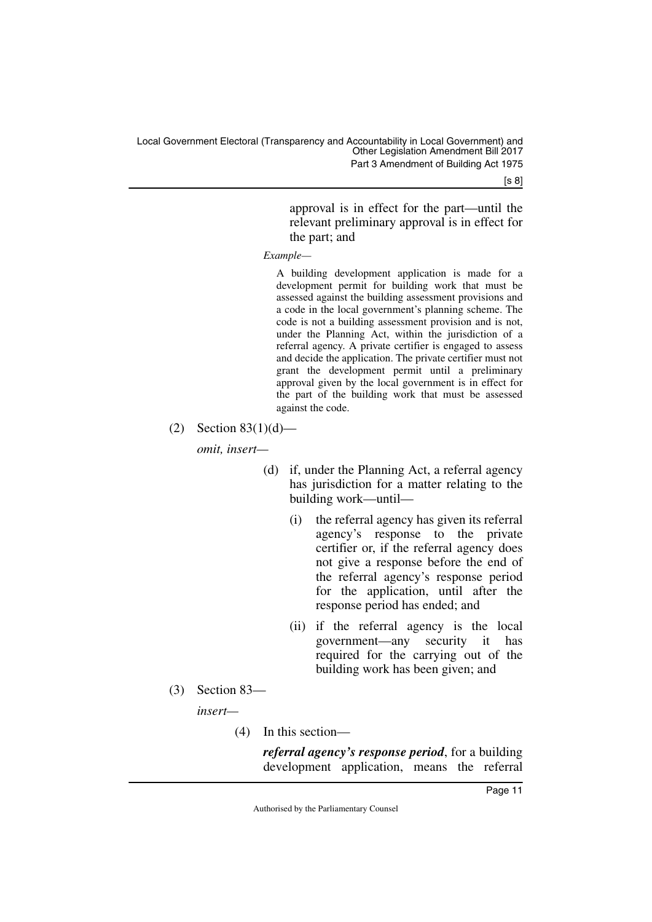[s 8]

approval is in effect for the part—until the relevant preliminary approval is in effect for the part; and

*Example—*

A building development application is made for a development permit for building work that must be assessed against the building assessment provisions and a code in the local government's planning scheme. The code is not a building assessment provision and is not, under the Planning Act, within the jurisdiction of a referral agency. A private certifier is engaged to assess and decide the application. The private certifier must not grant the development permit until a preliminary approval given by the local government is in effect for the part of the building work that must be assessed against the code.

(2) Section  $83(1)(d)$ —

*omit, insert—*

- (d) if, under the Planning Act, a referral agency has jurisdiction for a matter relating to the building work—until—
	- (i) the referral agency has given its referral agency's response to the private certifier or, if the referral agency does not give a response before the end of the referral agency's response period for the application, until after the response period has ended; and
	- (ii) if the referral agency is the local government—any security it has required for the carrying out of the building work has been given; and
- (3) Section 83—

*insert—*

(4) In this section—

*referral agency's response period*, for a building development application, means the referral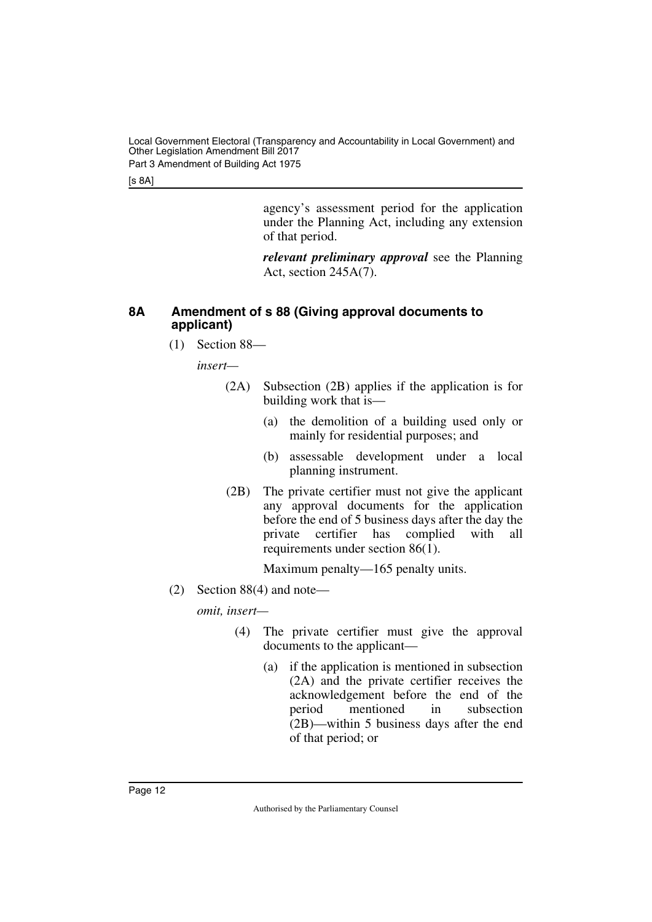Local Government Electoral (Transparency and Accountability in Local Government) and Other Legislation Amendment Bill 2017 Part 3 Amendment of Building Act 1975

[s 8A]

agency's assessment period for the application under the Planning Act, including any extension of that period.

*relevant preliminary approval* see the Planning Act, section 245A(7).

# <span id="page-13-0"></span>**8A Amendment of s 88 (Giving approval documents to applicant)**

<span id="page-13-1"></span>(1) Section 88—

*insert—*

- (2A) Subsection (2B) applies if the application is for building work that is—
	- (a) the demolition of a building used only or mainly for residential purposes; and
	- (b) assessable development under a local planning instrument.
- (2B) The private certifier must not give the applicant any approval documents for the application before the end of 5 business days after the day the private certifier has complied with all requirements under section 86(1).

Maximum penalty—165 penalty units.

(2) Section 88(4) and note—

- (4) The private certifier must give the approval documents to the applicant—
	- (a) if the application is mentioned in subsection (2A) and the private certifier receives the acknowledgement before the end of the<br>period mentioned in subsection period mentioned in (2B)—within 5 business days after the end of that period; or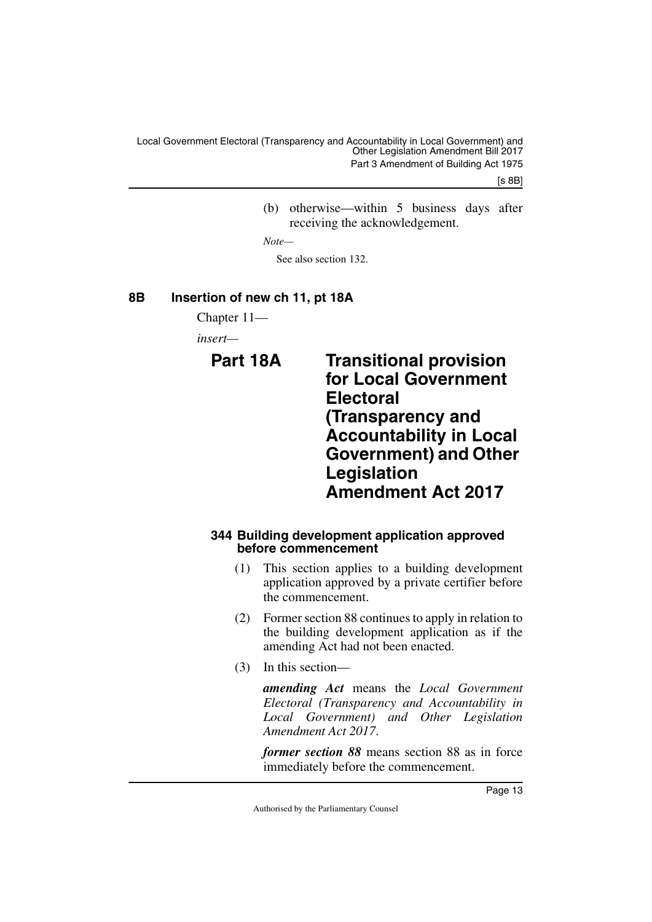[s 8B]

(b) otherwise—within 5 business days after receiving the acknowledgement.

*Note—*

<span id="page-14-3"></span>See also section 132.

# <span id="page-14-0"></span>**8B Insertion of new ch 11, pt 18A**

<span id="page-14-1"></span>Chapter 11—

<span id="page-14-2"></span>*insert—*

**Part 18A Transitional provision for Local Government Electoral (Transparency and Accountability in Local Government) and Other Legislation Amendment Act 2017**

# <span id="page-14-5"></span><span id="page-14-4"></span>**344 Building development application approved before commencement**

- (1) This section applies to a building development application approved by a private certifier before the commencement.
- (2) Former section 88 continues to apply in relation to the building development application as if the amending Act had not been enacted.
- (3) In this section—

*amending Act* means the *Local Government Electoral (Transparency and Accountability in Local Government) and Other Legislation Amendment Act 2017*.

*former section 88* means section 88 as in force immediately before the commencement.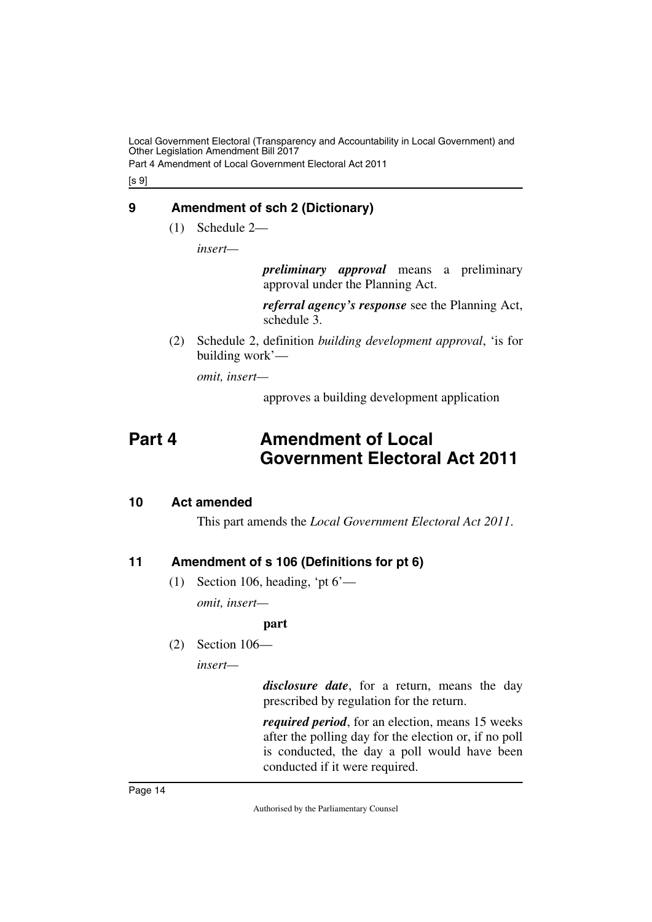Part 4 Amendment of Local Government Electoral Act 2011

[s 9]

# <span id="page-15-0"></span>**9 Amendment of sch 2 (Dictionary)**

<span id="page-15-1"></span>(1) Schedule 2—

*insert—*

*preliminary approval* means a preliminary approval under the Planning Act.

*referral agency's response* see the Planning Act, schedule 3.

(2) Schedule 2, definition *building development approval*, 'is for building work'—

*omit, insert—*

<span id="page-15-3"></span>approves a building development application

# <span id="page-15-2"></span>**Part 4 Amendment of Local Government Electoral Act 2011**

# <span id="page-15-4"></span>**10 Act amended**

<span id="page-15-5"></span>This part amends the *Local Government Electoral Act 2011*.

# <span id="page-15-6"></span>**11 Amendment of s 106 (Definitions for pt 6)**

<span id="page-15-7"></span>(1) Section 106, heading, 'pt  $6'$ —

*omit, insert—*

# **part**

(2) Section 106—

*insert—*

*disclosure date*, for a return, means the day prescribed by regulation for the return.

*required period*, for an election, means 15 weeks after the polling day for the election or, if no poll is conducted, the day a poll would have been conducted if it were required.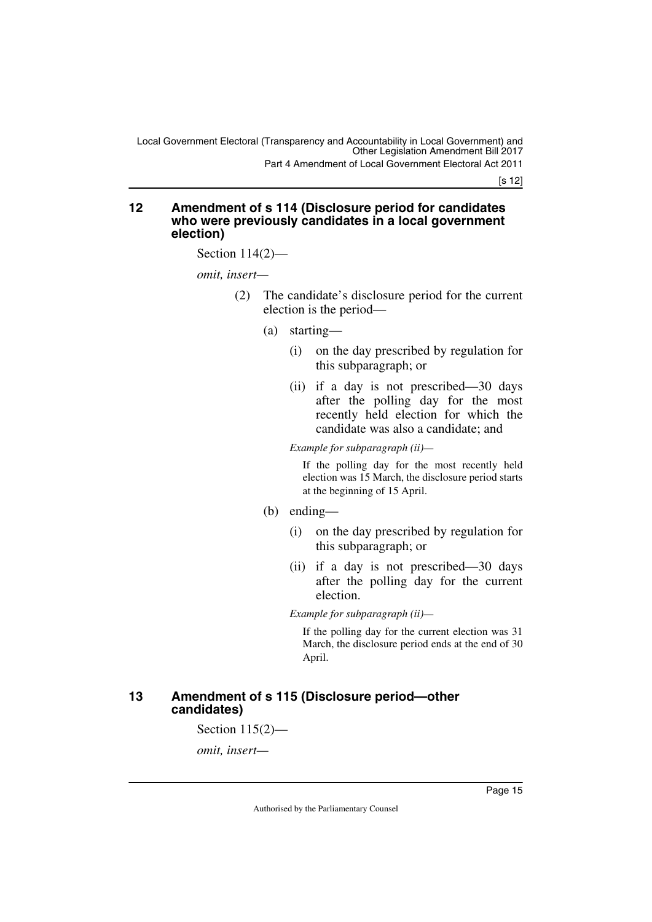[s 12]

#### <span id="page-16-1"></span><span id="page-16-0"></span>**12 Amendment of s 114 (Disclosure period for candidates who were previously candidates in a local government election)**

Section 114(2)—

*omit, insert—*

- (2) The candidate's disclosure period for the current election is the period—
	- (a) starting—
		- (i) on the day prescribed by regulation for this subparagraph; or
		- (ii) if a day is not prescribed—30 days after the polling day for the most recently held election for which the candidate was also a candidate; and

*Example for subparagraph (ii)—*

If the polling day for the most recently held election was 15 March, the disclosure period starts at the beginning of 15 April.

# (b) ending—

- (i) on the day prescribed by regulation for this subparagraph; or
- (ii) if a day is not prescribed—30 days after the polling day for the current election.

*Example for subparagraph (ii)—*

If the polling day for the current election was 31 March, the disclosure period ends at the end of 30 April.

# <span id="page-16-3"></span><span id="page-16-2"></span>**13 Amendment of s 115 (Disclosure period—other candidates)**

Section 115(2)—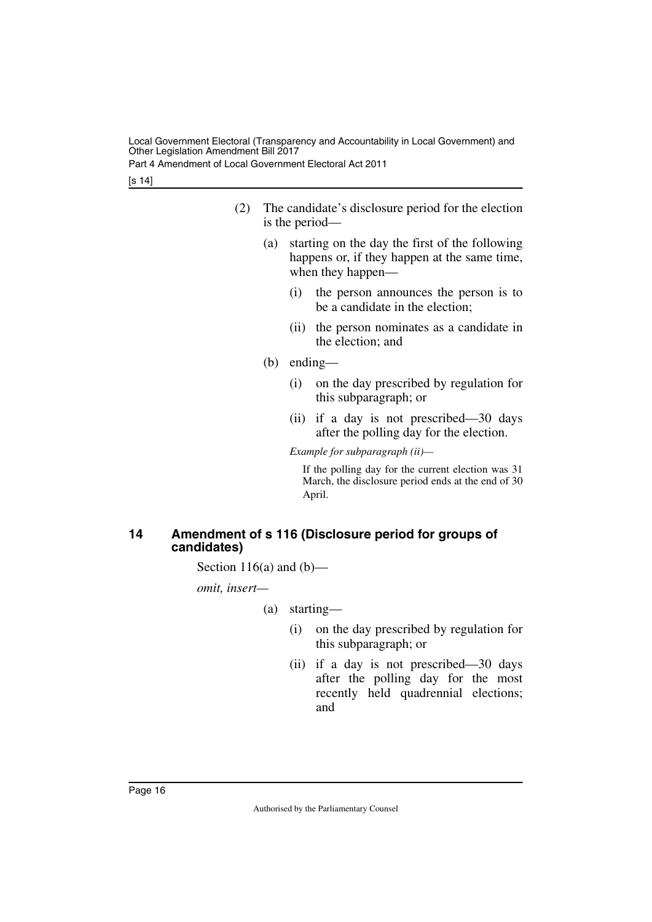Part 4 Amendment of Local Government Electoral Act 2011

[s 14]

- (2) The candidate's disclosure period for the election is the period—
	- (a) starting on the day the first of the following happens or, if they happen at the same time, when they happen—
		- (i) the person announces the person is to be a candidate in the election;
		- (ii) the person nominates as a candidate in the election; and
	- (b) ending—
		- (i) on the day prescribed by regulation for this subparagraph; or
		- (ii) if a day is not prescribed—30 days after the polling day for the election.

*Example for subparagraph (ii)—*

If the polling day for the current election was 31 March, the disclosure period ends at the end of 30 April.

# <span id="page-17-1"></span><span id="page-17-0"></span>**14 Amendment of s 116 (Disclosure period for groups of candidates)**

Section 116(a) and  $(b)$ —

- (a) starting—
	- (i) on the day prescribed by regulation for this subparagraph; or
	- (ii) if a day is not prescribed—30 days after the polling day for the most recently held quadrennial elections; and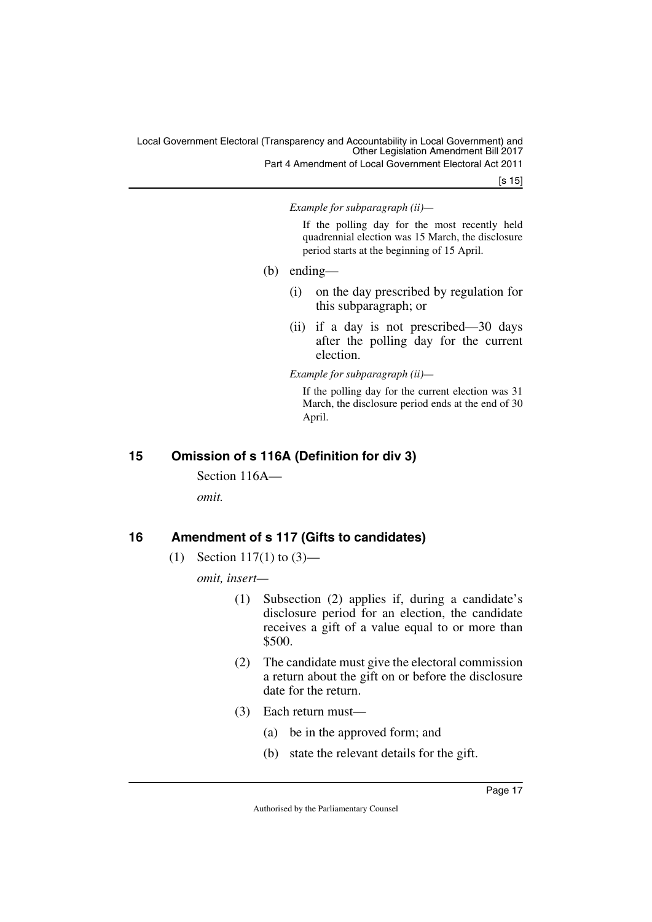Part 4 Amendment of Local Government Electoral Act 2011

[s 15]

*Example for subparagraph (ii)—*

If the polling day for the most recently held quadrennial election was 15 March, the disclosure period starts at the beginning of 15 April.

- (b) ending—
	- (i) on the day prescribed by regulation for this subparagraph; or
	- (ii) if a day is not prescribed—30 days after the polling day for the current election.

*Example for subparagraph (ii)—*

If the polling day for the current election was 31 March, the disclosure period ends at the end of 30 April.

# <span id="page-18-0"></span>**15 Omission of s 116A (Definition for div 3)**

<span id="page-18-1"></span>Section 116A—

*omit.*

# <span id="page-18-2"></span>**16 Amendment of s 117 (Gifts to candidates)**

<span id="page-18-3"></span>(1) Section 117(1) to  $(3)$ —

- (1) Subsection (2) applies if, during a candidate's disclosure period for an election, the candidate receives a gift of a value equal to or more than \$500.
- (2) The candidate must give the electoral commission a return about the gift on or before the disclosure date for the return.
- (3) Each return must—
	- (a) be in the approved form; and
	- (b) state the relevant details for the gift.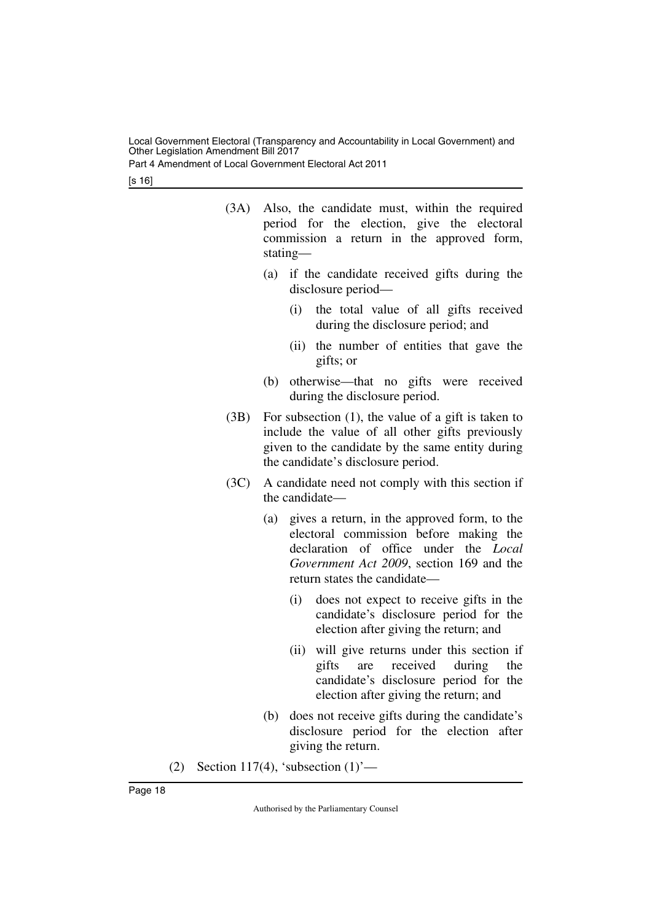Part 4 Amendment of Local Government Electoral Act 2011

[s 16]

- (3A) Also, the candidate must, within the required period for the election, give the electoral commission a return in the approved form, stating—
	- (a) if the candidate received gifts during the disclosure period—
		- (i) the total value of all gifts received during the disclosure period; and
		- (ii) the number of entities that gave the gifts; or
	- (b) otherwise—that no gifts were received during the disclosure period.
- (3B) For subsection (1), the value of a gift is taken to include the value of all other gifts previously given to the candidate by the same entity during the candidate's disclosure period.
- (3C) A candidate need not comply with this section if the candidate—
	- (a) gives a return, in the approved form, to the electoral commission before making the declaration of office under the *Local Government Act 2009*, section 169 and the return states the candidate—
		- (i) does not expect to receive gifts in the candidate's disclosure period for the election after giving the return; and
		- (ii) will give returns under this section if gifts are received during the candidate's disclosure period for the election after giving the return; and
	- (b) does not receive gifts during the candidate's disclosure period for the election after giving the return.
- (2) Section 117(4), 'subsection  $(1)$ '—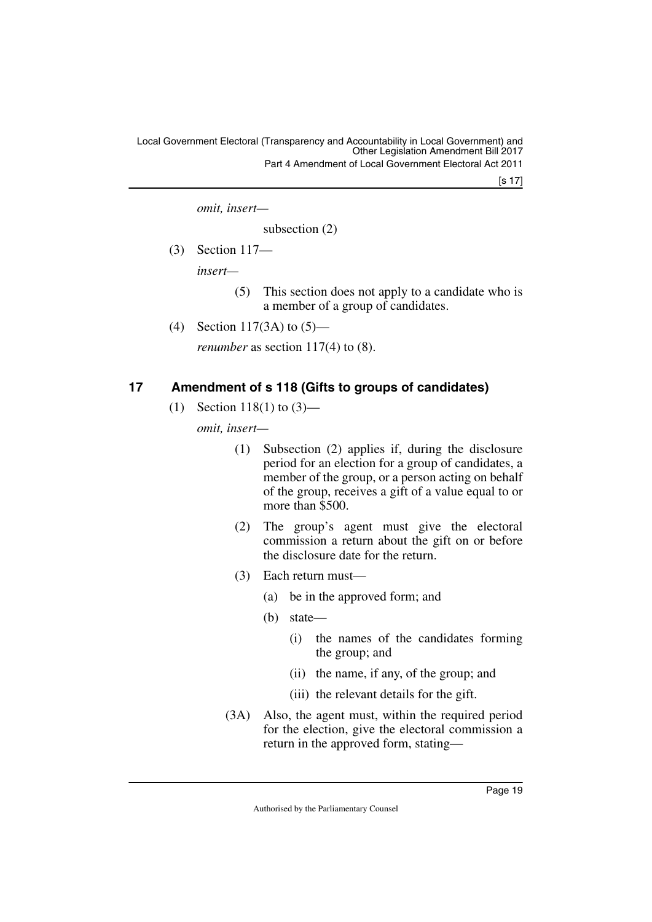Local Government Electoral (Transparency and Accountability in Local Government) and Other Legislation Amendment Bill 2017 Part 4 Amendment of Local Government Electoral Act 2011

[s 17]

*omit, insert—*

subsection (2)

(3) Section 117—

*insert—*

- (5) This section does not apply to a candidate who is a member of a group of candidates.
- (4) Section 117(3A) to (5)—

*renumber* as section 117(4) to (8).

# <span id="page-20-0"></span>**17 Amendment of s 118 (Gifts to groups of candidates)**

<span id="page-20-1"></span>(1) Section 118(1) to  $(3)$ —

- (1) Subsection (2) applies if, during the disclosure period for an election for a group of candidates, a member of the group, or a person acting on behalf of the group, receives a gift of a value equal to or more than \$500.
- (2) The group's agent must give the electoral commission a return about the gift on or before the disclosure date for the return.
- (3) Each return must—
	- (a) be in the approved form; and
	- (b) state—
		- (i) the names of the candidates forming the group; and
		- (ii) the name, if any, of the group; and
		- (iii) the relevant details for the gift.
- (3A) Also, the agent must, within the required period for the election, give the electoral commission a return in the approved form, stating—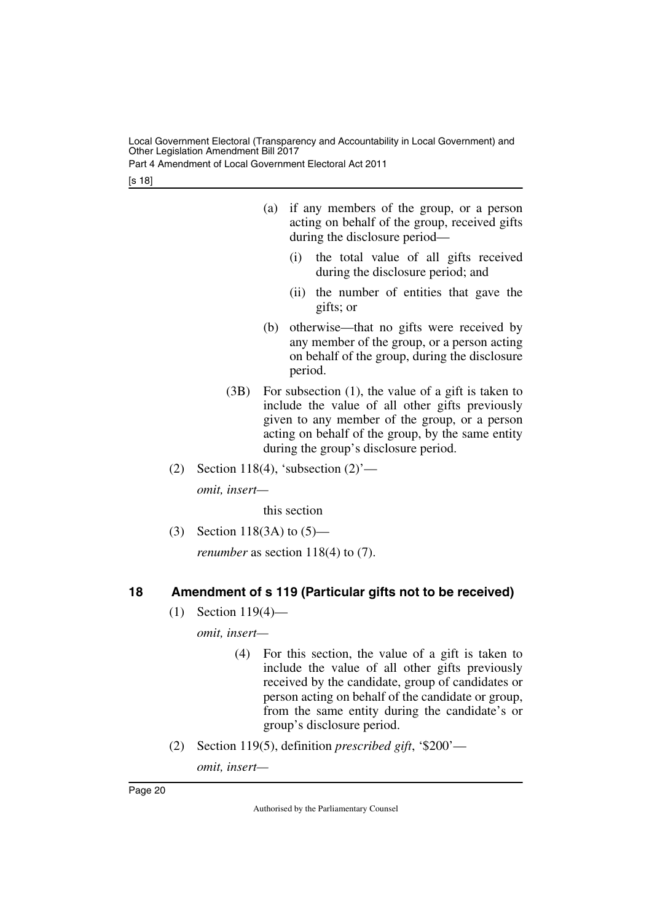Part 4 Amendment of Local Government Electoral Act 2011

[s 18]

- (a) if any members of the group, or a person acting on behalf of the group, received gifts during the disclosure period—
	- (i) the total value of all gifts received during the disclosure period; and
	- (ii) the number of entities that gave the gifts; or
- (b) otherwise—that no gifts were received by any member of the group, or a person acting on behalf of the group, during the disclosure period.
- (3B) For subsection (1), the value of a gift is taken to include the value of all other gifts previously given to any member of the group, or a person acting on behalf of the group, by the same entity during the group's disclosure period.
- (2) Section 118(4), 'subsection  $(2)$ '—

*omit, insert—*

this section

(3) Section 118(3A) to (5)—

*renumber* as section 118(4) to (7).

# <span id="page-21-0"></span>**18 Amendment of s 119 (Particular gifts not to be received)**

<span id="page-21-1"></span>(1) Section 119(4)—

*omit, insert—*

- (4) For this section, the value of a gift is taken to include the value of all other gifts previously received by the candidate, group of candidates or person acting on behalf of the candidate or group, from the same entity during the candidate's or group's disclosure period.
- (2) Section 119(5), definition *prescribed gift*, '\$200'—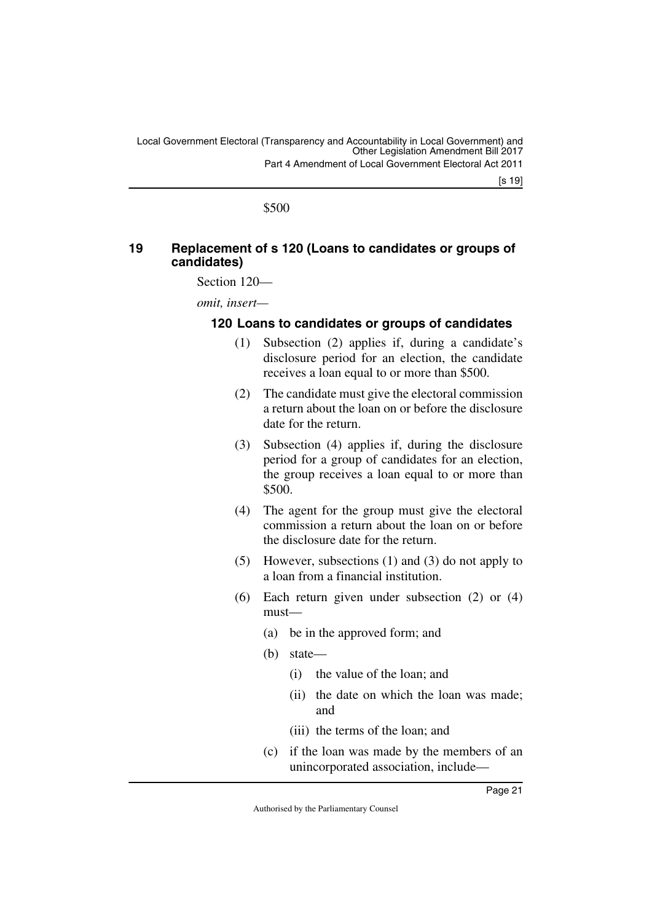\$500

# <span id="page-22-1"></span><span id="page-22-0"></span>**19 Replacement of s 120 (Loans to candidates or groups of candidates)**

Section 120—

*omit, insert—*

# <span id="page-22-3"></span><span id="page-22-2"></span>**120 Loans to candidates or groups of candidates**

- (1) Subsection (2) applies if, during a candidate's disclosure period for an election, the candidate receives a loan equal to or more than \$500.
- (2) The candidate must give the electoral commission a return about the loan on or before the disclosure date for the return.
- (3) Subsection (4) applies if, during the disclosure period for a group of candidates for an election, the group receives a loan equal to or more than \$500.
- (4) The agent for the group must give the electoral commission a return about the loan on or before the disclosure date for the return.
- (5) However, subsections (1) and (3) do not apply to a loan from a financial institution.
- (6) Each return given under subsection (2) or (4) must—
	- (a) be in the approved form; and
	- (b) state—
		- (i) the value of the loan; and
		- (ii) the date on which the loan was made; and
		- (iii) the terms of the loan; and
	- (c) if the loan was made by the members of an unincorporated association, include—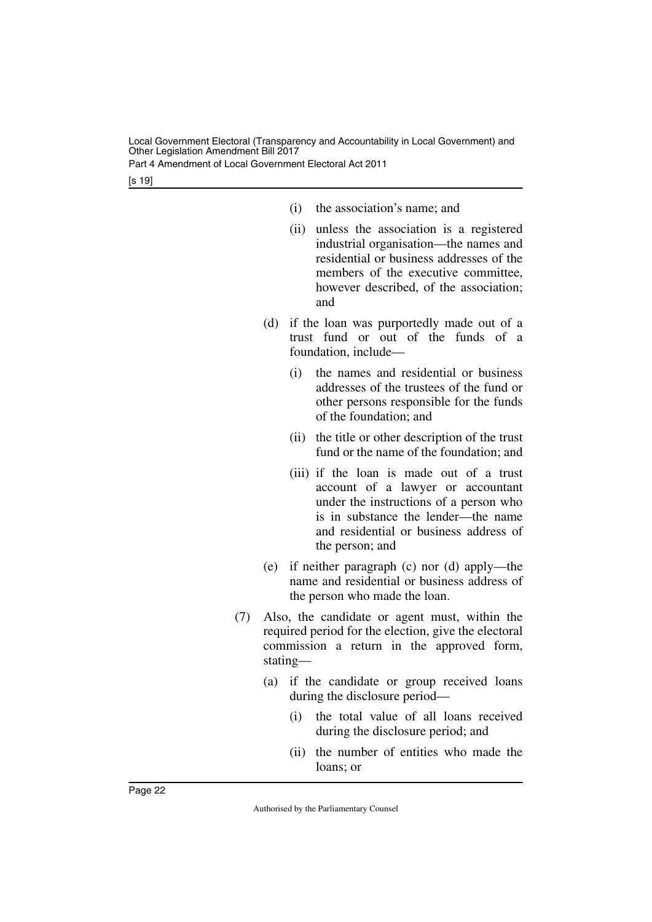Part 4 Amendment of Local Government Electoral Act 2011

[s 19]

- (i) the association's name; and
- (ii) unless the association is a registered industrial organisation—the names and residential or business addresses of the members of the executive committee, however described, of the association; and
- (d) if the loan was purportedly made out of a trust fund or out of the funds of a foundation, include—
	- (i) the names and residential or business addresses of the trustees of the fund or other persons responsible for the funds of the foundation; and
	- (ii) the title or other description of the trust fund or the name of the foundation; and
	- (iii) if the loan is made out of a trust account of a lawyer or accountant under the instructions of a person who is in substance the lender—the name and residential or business address of the person; and
- (e) if neither paragraph (c) nor (d) apply—the name and residential or business address of the person who made the loan.
- (7) Also, the candidate or agent must, within the required period for the election, give the electoral commission a return in the approved form, stating—
	- (a) if the candidate or group received loans during the disclosure period—
		- (i) the total value of all loans received during the disclosure period; and
		- (ii) the number of entities who made the loans; or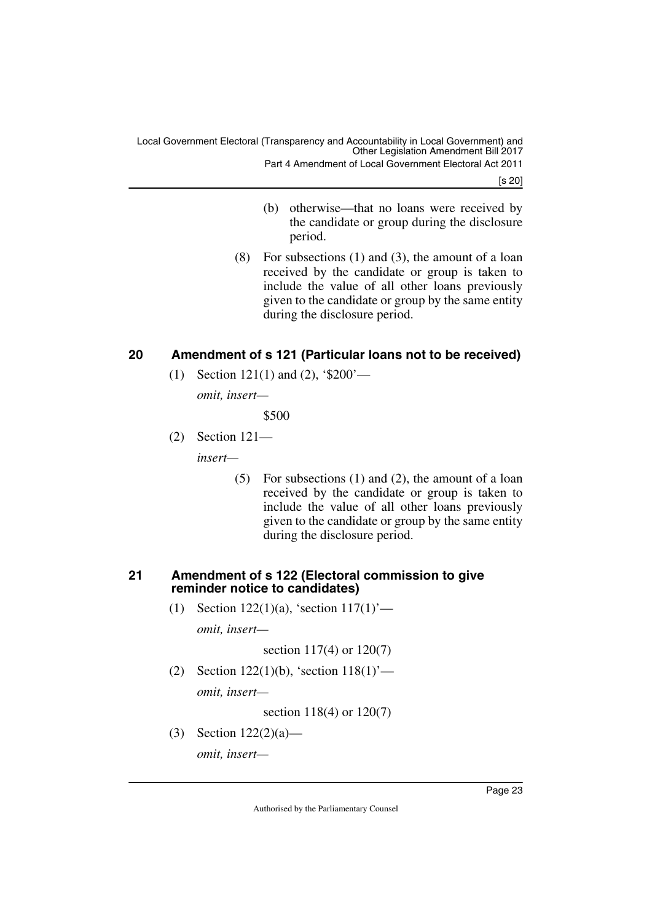[s 20]

- (b) otherwise—that no loans were received by the candidate or group during the disclosure period.
- (8) For subsections (1) and (3), the amount of a loan received by the candidate or group is taken to include the value of all other loans previously given to the candidate or group by the same entity during the disclosure period.

# <span id="page-24-0"></span>**20 Amendment of s 121 (Particular loans not to be received)**

<span id="page-24-1"></span>(1) Section 121(1) and (2), '\$200'—

*omit, insert—*

\$500

(2) Section 121—

*insert—*

(5) For subsections (1) and (2), the amount of a loan received by the candidate or group is taken to include the value of all other loans previously given to the candidate or group by the same entity during the disclosure period.

# <span id="page-24-2"></span>**21 Amendment of s 122 (Electoral commission to give reminder notice to candidates)**

<span id="page-24-3"></span>(1) Section 122(1)(a), 'section  $117(1)$ '—

*omit, insert—*

section 117(4) or 120(7)

(2) Section 122(1)(b), 'section 118(1)'—

*omit, insert—*

section 118(4) or 120(7)

(3) Section 122(2)(a)—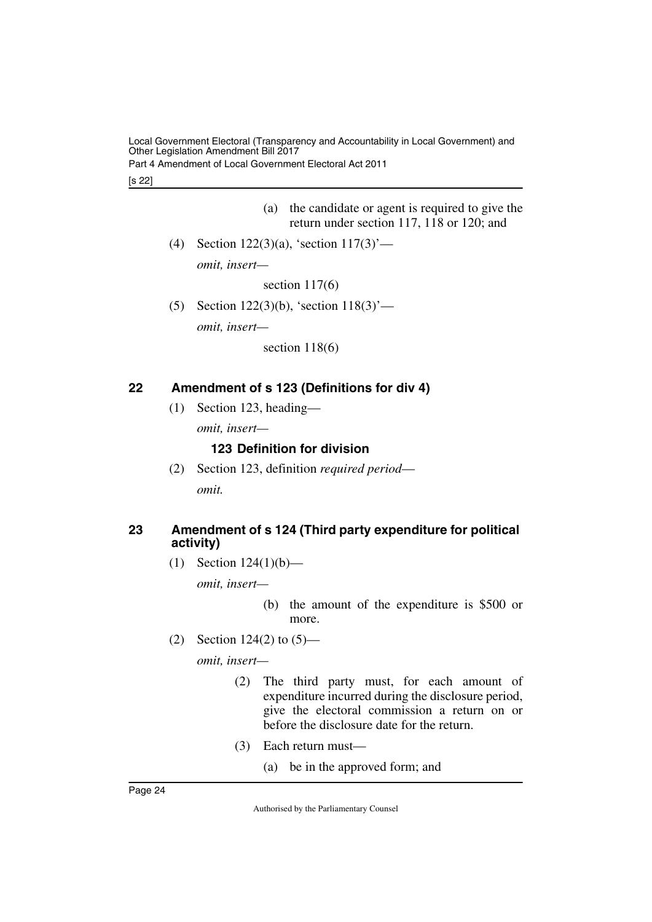Part 4 Amendment of Local Government Electoral Act 2011

[s 22]

- (a) the candidate or agent is required to give the return under section 117, 118 or 120; and
- (4) Section 122(3)(a), 'section 117(3)' *omit, insert—*

section 117(6)

(5) Section 122(3)(b), 'section 118(3)' *omit, insert—*

section 118(6)

# <span id="page-25-0"></span>**22 Amendment of s 123 (Definitions for div 4)**

<span id="page-25-1"></span>(1) Section 123, heading—

*omit, insert—*

# <span id="page-25-3"></span><span id="page-25-2"></span>**123 Definition for division**

(2) Section 123, definition *required period omit.*

# <span id="page-25-5"></span><span id="page-25-4"></span>**23 Amendment of s 124 (Third party expenditure for political activity)**

(1) Section  $124(1)(b)$ —

*omit, insert—*

(b) the amount of the expenditure is \$500 or more.

(2) Section 124(2) to (5)—

- (2) The third party must, for each amount of expenditure incurred during the disclosure period, give the electoral commission a return on or before the disclosure date for the return.
- (3) Each return must—
	- (a) be in the approved form; and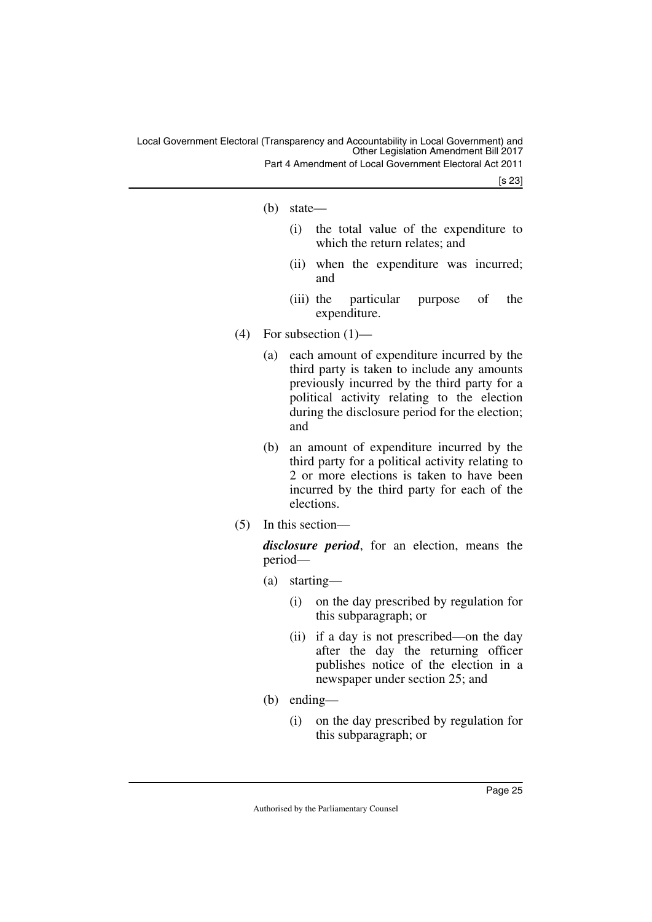Part 4 Amendment of Local Government Electoral Act 2011

[s 23]

- (b) state—
	- (i) the total value of the expenditure to which the return relates; and
	- (ii) when the expenditure was incurred; and
	- (iii) the particular purpose of the expenditure.
- (4) For subsection  $(1)$ 
	- (a) each amount of expenditure incurred by the third party is taken to include any amounts previously incurred by the third party for a political activity relating to the election during the disclosure period for the election; and
	- (b) an amount of expenditure incurred by the third party for a political activity relating to 2 or more elections is taken to have been incurred by the third party for each of the elections.
- (5) In this section—

*disclosure period*, for an election, means the period—

- (a) starting—
	- (i) on the day prescribed by regulation for this subparagraph; or
	- (ii) if a day is not prescribed—on the day after the day the returning officer publishes notice of the election in a newspaper under section 25; and
- (b) ending—
	- (i) on the day prescribed by regulation for this subparagraph; or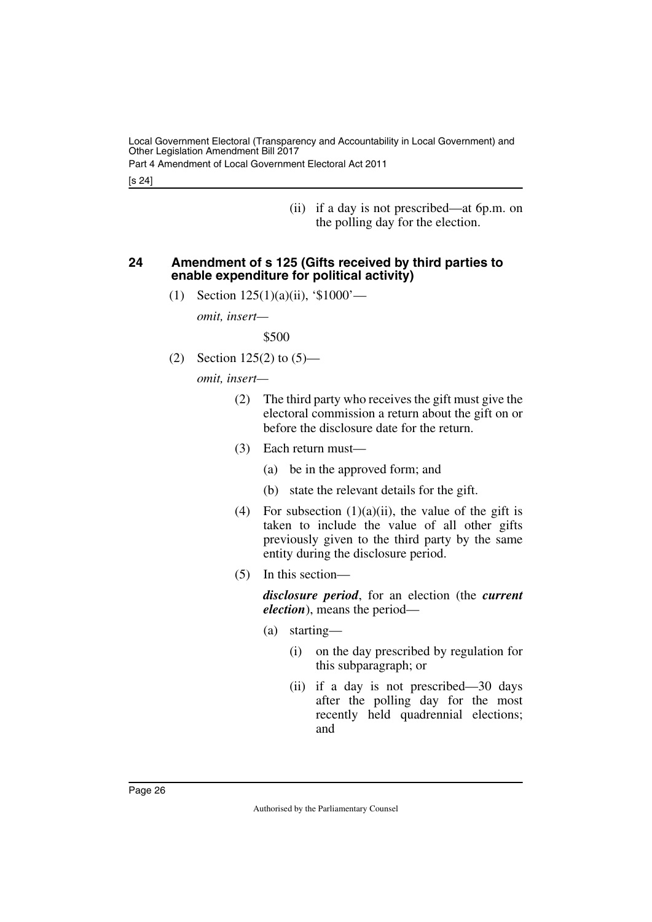Part 4 Amendment of Local Government Electoral Act 2011

[s 24]

(ii) if a day is not prescribed—at 6p.m. on the polling day for the election.

# <span id="page-27-0"></span>**24 Amendment of s 125 (Gifts received by third parties to enable expenditure for political activity)**

<span id="page-27-1"></span>(1) Section 125(1)(a)(ii), '\$1000'—

*omit, insert—*

\$500

(2) Section  $125(2)$  to  $(5)$ —

*omit, insert—*

- (2) The third party who receives the gift must give the electoral commission a return about the gift on or before the disclosure date for the return.
- (3) Each return must—
	- (a) be in the approved form; and
	- (b) state the relevant details for the gift.
- (4) For subsection  $(1)(a)(ii)$ , the value of the gift is taken to include the value of all other gifts previously given to the third party by the same entity during the disclosure period.
- (5) In this section—

*disclosure period*, for an election (the *current election*), means the period—

- (a) starting—
	- (i) on the day prescribed by regulation for this subparagraph; or
	- (ii) if a day is not prescribed—30 days after the polling day for the most recently held quadrennial elections; and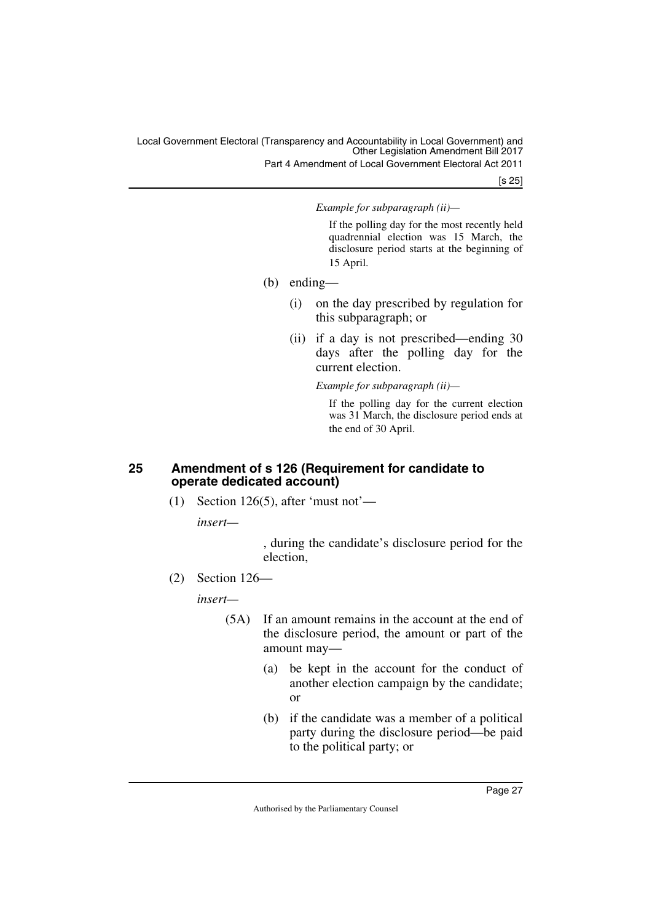Part 4 Amendment of Local Government Electoral Act 2011

[s 25]

*Example for subparagraph (ii)—*

If the polling day for the most recently held quadrennial election was 15 March, the disclosure period starts at the beginning of 15 April.

- (b) ending—
	- (i) on the day prescribed by regulation for this subparagraph; or
	- (ii) if a day is not prescribed—ending 30 days after the polling day for the current election.

*Example for subparagraph (ii)—*

If the polling day for the current election was 31 March, the disclosure period ends at the end of 30 April.

# <span id="page-28-1"></span><span id="page-28-0"></span>**25 Amendment of s 126 (Requirement for candidate to operate dedicated account)**

(1) Section 126(5), after 'must not'—

*insert—*

, during the candidate's disclosure period for the election,

(2) Section 126—

*insert—*

- (5A) If an amount remains in the account at the end of the disclosure period, the amount or part of the amount may—
	- (a) be kept in the account for the conduct of another election campaign by the candidate; or
	- (b) if the candidate was a member of a political party during the disclosure period—be paid to the political party; or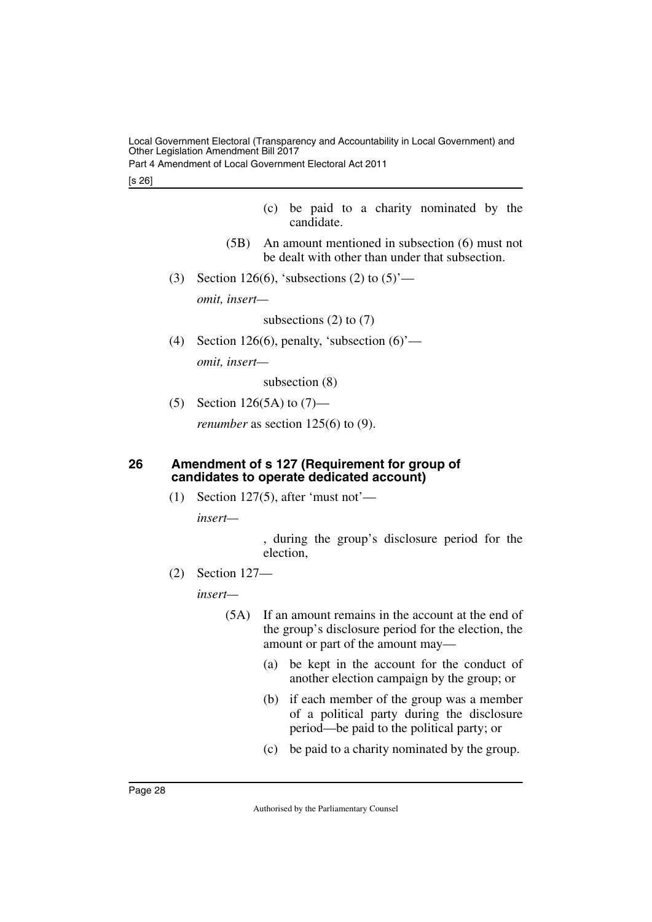Part 4 Amendment of Local Government Electoral Act 2011

- (c) be paid to a charity nominated by the candidate.
- (5B) An amount mentioned in subsection (6) must not be dealt with other than under that subsection.
- (3) Section 126(6), 'subsections (2) to  $(5)$ '—

*omit, insert—*

subsections  $(2)$  to  $(7)$ 

(4) Section 126(6), penalty, 'subsection  $(6)$ ' *omit, insert—*

subsection (8)

(5) Section 126(5A) to  $(7)$ —

<span id="page-29-1"></span>*renumber* as section 125(6) to (9).

# <span id="page-29-0"></span>**26 Amendment of s 127 (Requirement for group of candidates to operate dedicated account)**

(1) Section 127(5), after 'must not'—

*insert—*

, during the group's disclosure period for the election,

(2) Section 127—

*insert—*

- (5A) If an amount remains in the account at the end of the group's disclosure period for the election, the amount or part of the amount may—
	- (a) be kept in the account for the conduct of another election campaign by the group; or
	- (b) if each member of the group was a member of a political party during the disclosure period—be paid to the political party; or
	- (c) be paid to a charity nominated by the group.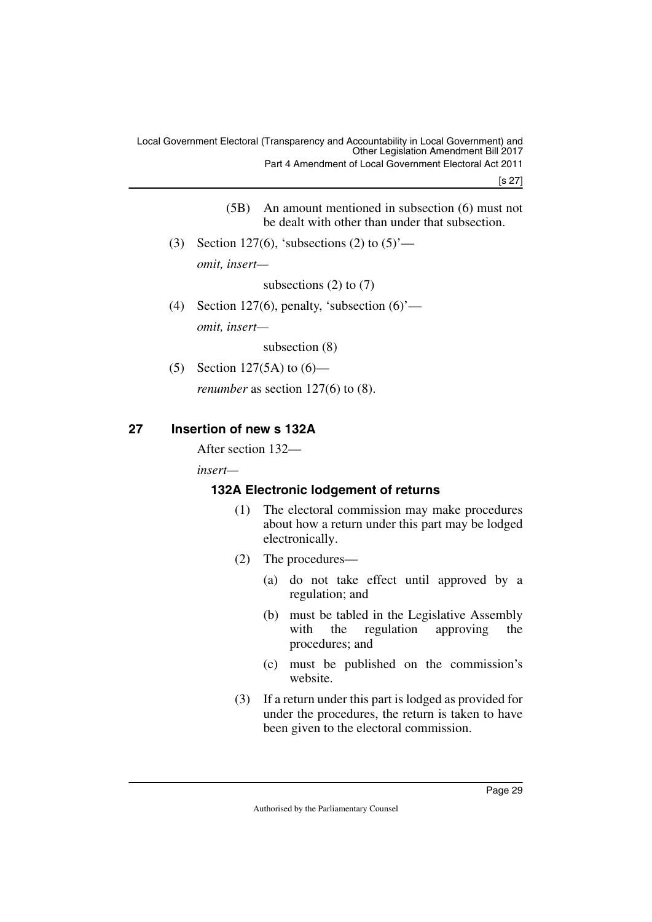[s 27]

- (5B) An amount mentioned in subsection (6) must not be dealt with other than under that subsection.
- (3) Section 127(6), 'subsections (2) to  $(5)$ ' *omit, insert—*

subsections  $(2)$  to  $(7)$ 

(4) Section 127(6), penalty, 'subsection  $(6)$ ' *omit, insert—*

subsection (8)

(5) Section 127(5A) to (6)—

<span id="page-30-1"></span>*renumber* as section 127(6) to (8).

# <span id="page-30-0"></span>**27 Insertion of new s 132A**

After section 132—

*insert—*

# <span id="page-30-2"></span>**132A Electronic lodgement of returns**

- <span id="page-30-3"></span>(1) The electoral commission may make procedures about how a return under this part may be lodged electronically.
- (2) The procedures—
	- (a) do not take effect until approved by a regulation; and
	- (b) must be tabled in the Legislative Assembly with the regulation approving the procedures; and
	- (c) must be published on the commission's website.
- (3) If a return under this part is lodged as provided for under the procedures, the return is taken to have been given to the electoral commission.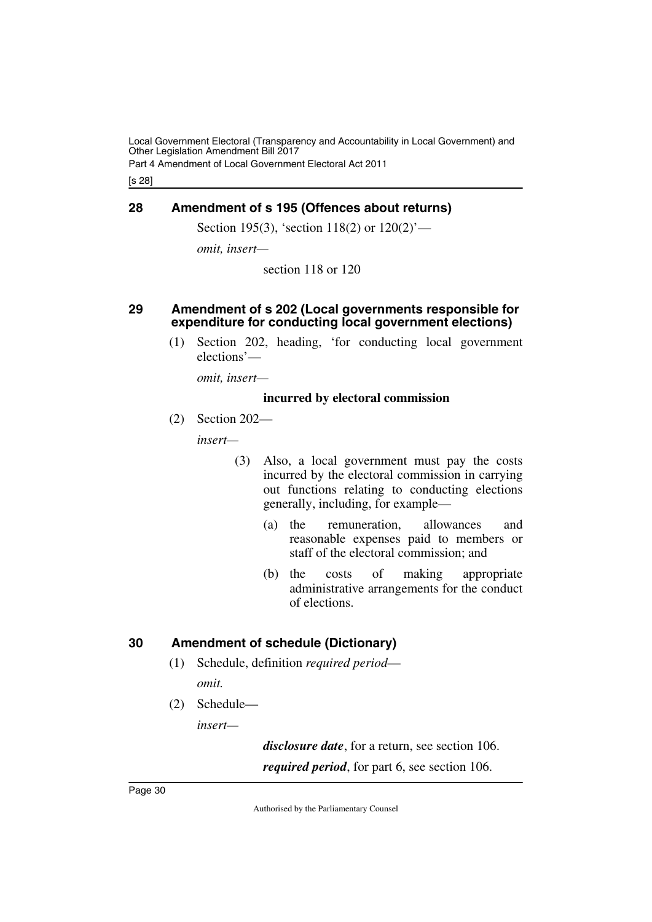Part 4 Amendment of Local Government Electoral Act 2011

[s 28]

# <span id="page-31-0"></span>**28 Amendment of s 195 (Offences about returns)**

<span id="page-31-1"></span>Section 195(3), 'section 118(2) or 120(2)'—

*omit, insert—*

section 118 or 120

# <span id="page-31-2"></span>**29 Amendment of s 202 (Local governments responsible for expenditure for conducting local government elections)**

<span id="page-31-3"></span>(1) Section 202, heading, 'for conducting local government elections'—

*omit, insert—*

# **incurred by electoral commission**

(2) Section 202—

*insert—*

- (3) Also, a local government must pay the costs incurred by the electoral commission in carrying out functions relating to conducting elections generally, including, for example—
	- (a) the remuneration, allowances and reasonable expenses paid to members or staff of the electoral commission; and
	- (b) the costs of making appropriate administrative arrangements for the conduct of elections.

# <span id="page-31-4"></span>**30 Amendment of schedule (Dictionary)**

- <span id="page-31-5"></span>(1) Schedule, definition *required period omit.*
- (2) Schedule—

*insert—*

*disclosure date*, for a return, see section 106. *required period*, for part 6, see section 106.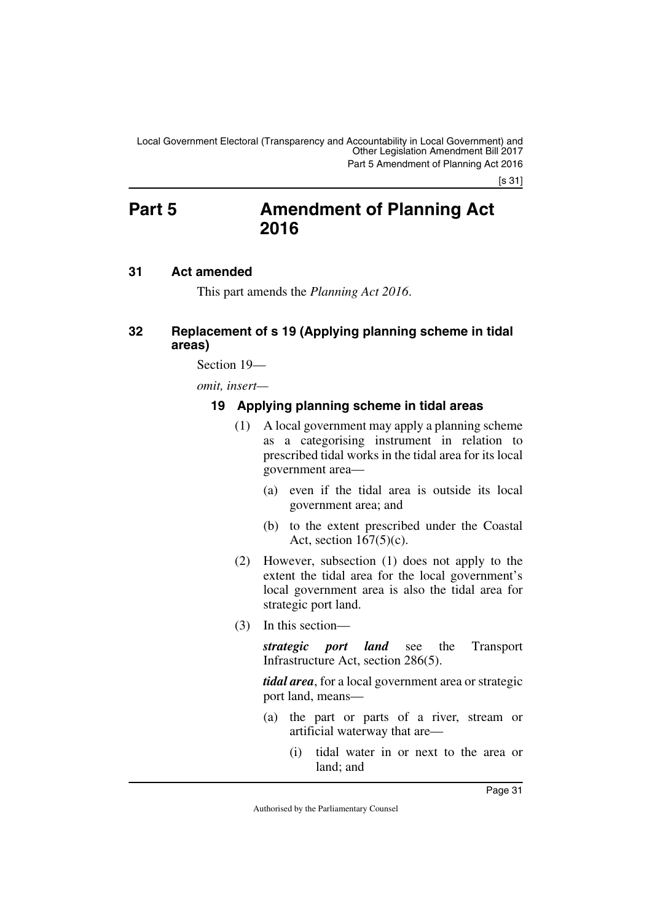# <span id="page-32-0"></span>**Part 5 Amendment of Planning Act 2016**

# <span id="page-32-2"></span>**31 Act amended**

<span id="page-32-5"></span><span id="page-32-3"></span><span id="page-32-1"></span>This part amends the *Planning Act 2016*.

# <span id="page-32-4"></span>**32 Replacement of s 19 (Applying planning scheme in tidal areas)**

Section 19—

*omit, insert—*

# <span id="page-32-7"></span><span id="page-32-6"></span>**19 Applying planning scheme in tidal areas**

- (1) A local government may apply a planning scheme as a categorising instrument in relation to prescribed tidal works in the tidal area for its local government area—
	- (a) even if the tidal area is outside its local government area; and
	- (b) to the extent prescribed under the Coastal Act, section  $167(5)(c)$ .
- (2) However, subsection (1) does not apply to the extent the tidal area for the local government's local government area is also the tidal area for strategic port land.
- (3) In this section—

*strategic port land* see the Transport Infrastructure Act, section 286(5).

*tidal area*, for a local government area or strategic port land, means—

- (a) the part or parts of a river, stream or artificial waterway that are—
	- (i) tidal water in or next to the area or land; and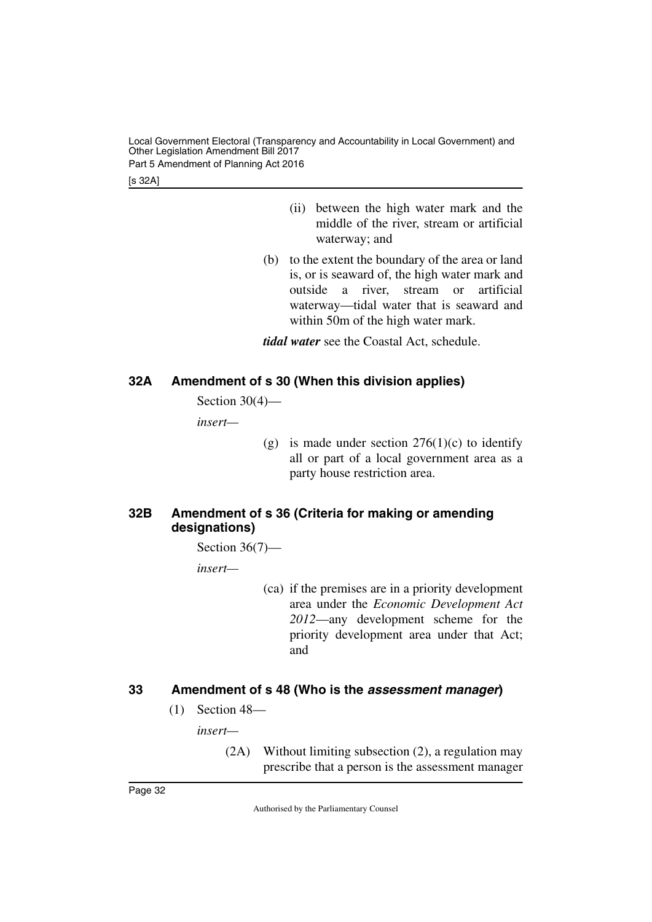Local Government Electoral (Transparency and Accountability in Local Government) and Other Legislation Amendment Bill 2017 Part 5 Amendment of Planning Act 2016

[s 32A]

- (ii) between the high water mark and the middle of the river, stream or artificial waterway; and
- (b) to the extent the boundary of the area or land is, or is seaward of, the high water mark and outside a river, stream or artificial waterway—tidal water that is seaward and within 50m of the high water mark.

*tidal water* see the Coastal Act, schedule.

# <span id="page-33-0"></span>**32A Amendment of s 30 (When this division applies)**

<span id="page-33-1"></span>Section 30(4)—

*insert—*

(g) is made under section  $276(1)(c)$  to identify all or part of a local government area as a party house restriction area.

# <span id="page-33-3"></span><span id="page-33-2"></span>**32B Amendment of s 36 (Criteria for making or amending designations)**

Section 36(7)—

*insert—*

(ca) if the premises are in a priority development area under the *Economic Development Act 2012*—any development scheme for the priority development area under that Act; and

# <span id="page-33-4"></span>**33 Amendment of s 48 (Who is the** *assessment manager***)**

<span id="page-33-5"></span>(1) Section 48—

*insert—*

(2A) Without limiting subsection (2), a regulation may prescribe that a person is the assessment manager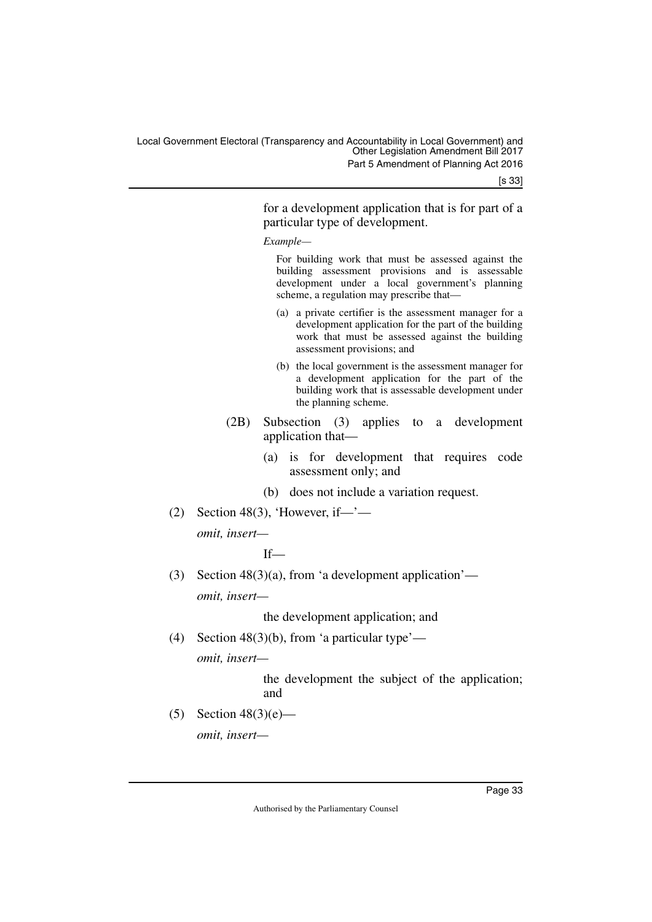[s 33]

for a development application that is for part of a particular type of development.

*Example—*

For building work that must be assessed against the building assessment provisions and is assessable development under a local government's planning scheme, a regulation may prescribe that—

- (a) a private certifier is the assessment manager for a development application for the part of the building work that must be assessed against the building assessment provisions; and
- (b) the local government is the assessment manager for a development application for the part of the building work that is assessable development under the planning scheme.
- (2B) Subsection (3) applies to a development application that—
	- (a) is for development that requires code assessment only; and
	- (b) does not include a variation request.
- $(2)$  Section 48(3), 'However, if—'—

*omit, insert—*

If—

(3) Section  $48(3)(a)$ , from 'a development application' *omit, insert—*

the development application; and

(4) Section 48(3)(b), from 'a particular type'—

*omit, insert—*

the development the subject of the application; and

(5) Section  $48(3)(e)$ —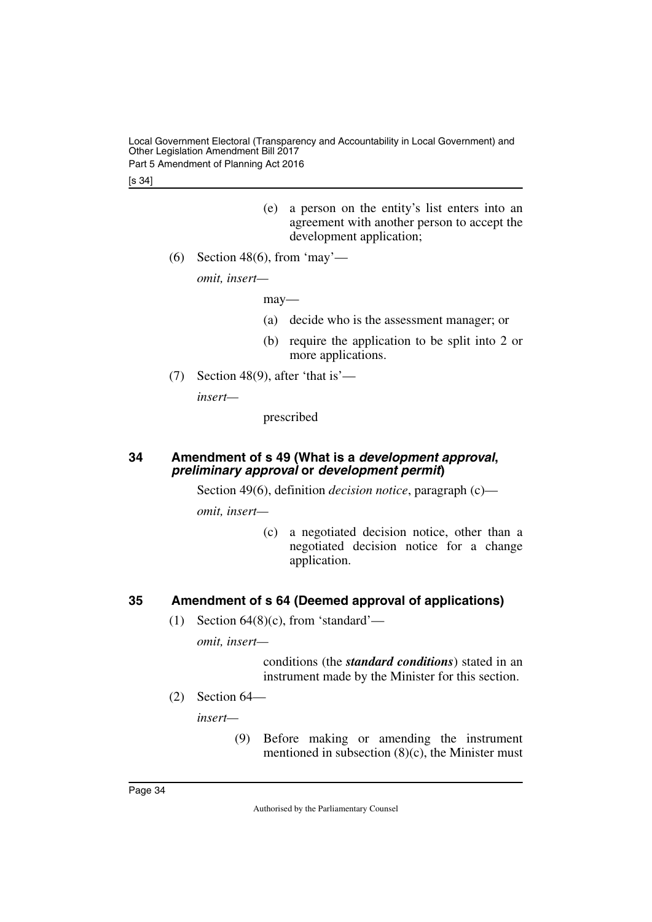Local Government Electoral (Transparency and Accountability in Local Government) and Other Legislation Amendment Bill 2017 Part 5 Amendment of Planning Act 2016

[s 34]

- (e) a person on the entity's list enters into an agreement with another person to accept the development application;
- (6) Section 48(6), from 'may'—

*omit, insert—*

may—

- (a) decide who is the assessment manager; or
- (b) require the application to be split into 2 or more applications.
- (7) Section 48(9), after 'that is'—

*insert—*

prescribed

#### <span id="page-35-1"></span><span id="page-35-0"></span>**34 Amendment of s 49 (What is a** *development approval***,**  *preliminary approval* **or** *development permit***)**

Section 49(6), definition *decision notice*, paragraph (c)—

*omit, insert—*

(c) a negotiated decision notice, other than a negotiated decision notice for a change application.

# <span id="page-35-2"></span>**35 Amendment of s 64 (Deemed approval of applications)**

<span id="page-35-3"></span>(1) Section  $64(8)(c)$ , from 'standard'—

*omit, insert—*

conditions (the *standard conditions*) stated in an instrument made by the Minister for this section.

(2) Section 64—

*insert—*

(9) Before making or amending the instrument mentioned in subsection (8)(c), the Minister must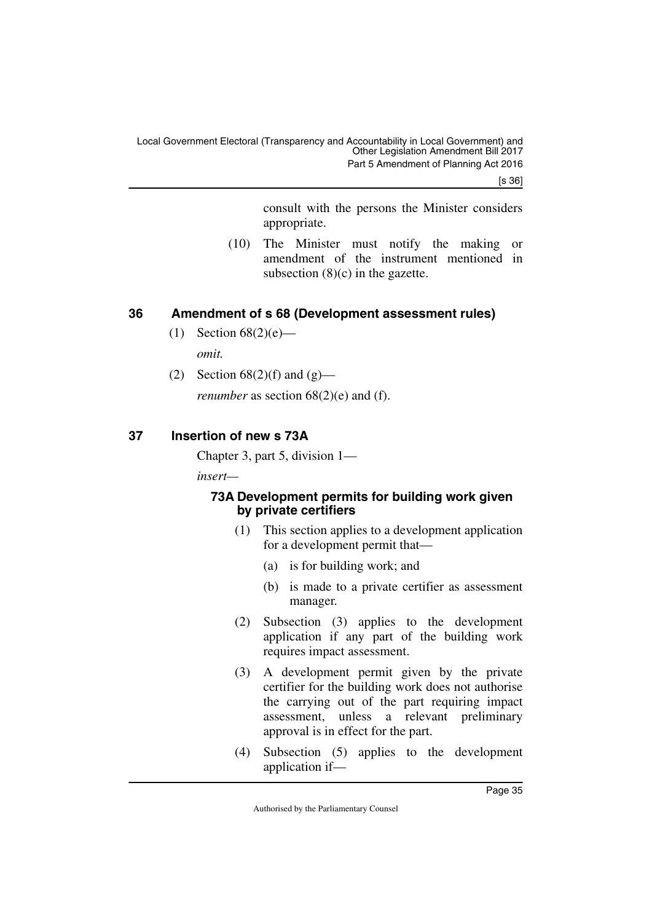[s 36]

consult with the persons the Minister considers appropriate.

(10) The Minister must notify the making or amendment of the instrument mentioned in subsection  $(8)(c)$  in the gazette.

# <span id="page-36-0"></span>**36 Amendment of s 68 (Development assessment rules)**

- <span id="page-36-1"></span>(1) Section  $68(2)(e)$  *omit.*
- (2) Section  $68(2)(f)$  and  $(g)$  *renumber* as section 68(2)(e) and (f).

# <span id="page-36-2"></span>**37 Insertion of new s 73A**

<span id="page-36-3"></span>Chapter 3, part 5, division 1—

*insert—*

# <span id="page-36-5"></span><span id="page-36-4"></span>**73A Development permits for building work given by private certifiers**

- (1) This section applies to a development application for a development permit that—
	- (a) is for building work; and
	- (b) is made to a private certifier as assessment manager.
- (2) Subsection (3) applies to the development application if any part of the building work requires impact assessment.
- (3) A development permit given by the private certifier for the building work does not authorise the carrying out of the part requiring impact assessment, unless a relevant preliminary approval is in effect for the part.
- (4) Subsection (5) applies to the development application if—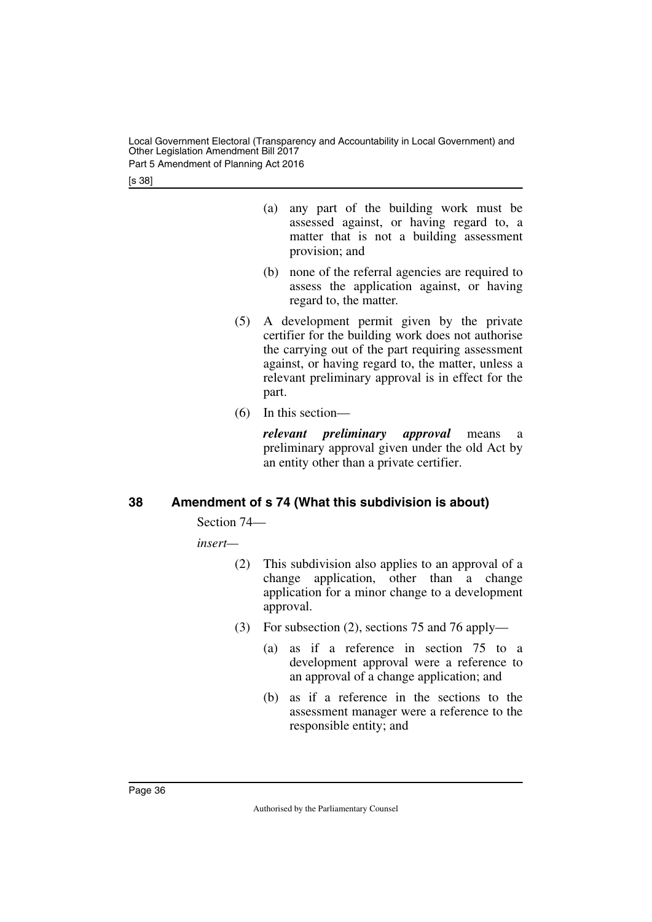Part 5 Amendment of Planning Act 2016

[s 38]

- (a) any part of the building work must be assessed against, or having regard to, a matter that is not a building assessment provision; and
- (b) none of the referral agencies are required to assess the application against, or having regard to, the matter.
- (5) A development permit given by the private certifier for the building work does not authorise the carrying out of the part requiring assessment against, or having regard to, the matter, unless a relevant preliminary approval is in effect for the part.
- (6) In this section—

*relevant preliminary approval* means a preliminary approval given under the old Act by an entity other than a private certifier.

# <span id="page-37-0"></span>**38 Amendment of s 74 (What this subdivision is about)**

<span id="page-37-1"></span>Section 74—

*insert—*

- (2) This subdivision also applies to an approval of a change application, other than a change application for a minor change to a development approval.
- (3) For subsection (2), sections 75 and 76 apply—
	- (a) as if a reference in section 75 to a development approval were a reference to an approval of a change application; and
	- (b) as if a reference in the sections to the assessment manager were a reference to the responsible entity; and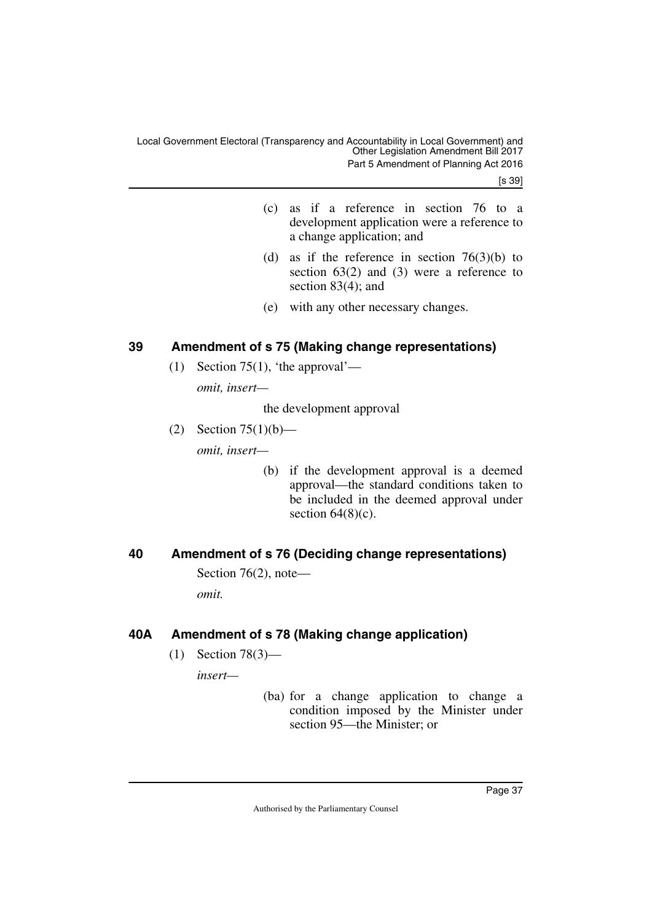[s 39]

- (c) as if a reference in section 76 to a development application were a reference to a change application; and
- (d) as if the reference in section  $76(3)(b)$  to section  $63(2)$  and  $(3)$  were a reference to section 83(4); and
- (e) with any other necessary changes.

# <span id="page-38-0"></span>**39 Amendment of s 75 (Making change representations)**

<span id="page-38-1"></span>(1) Section 75(1), 'the approval'—

*omit, insert—*

the development approval

- (2) Section 75(1)(b) *omit, insert—*
	- (b) if the development approval is a deemed approval—the standard conditions taken to be included in the deemed approval under section  $64(8)(c)$ .

# <span id="page-38-2"></span>**40 Amendment of s 76 (Deciding change representations)**

<span id="page-38-3"></span>Section 76(2), note—

*omit.*

# <span id="page-38-4"></span>**40A Amendment of s 78 (Making change application)**

<span id="page-38-5"></span>(1) Section 78(3)—

*insert—*

(ba) for a change application to change a condition imposed by the Minister under section 95—the Minister; or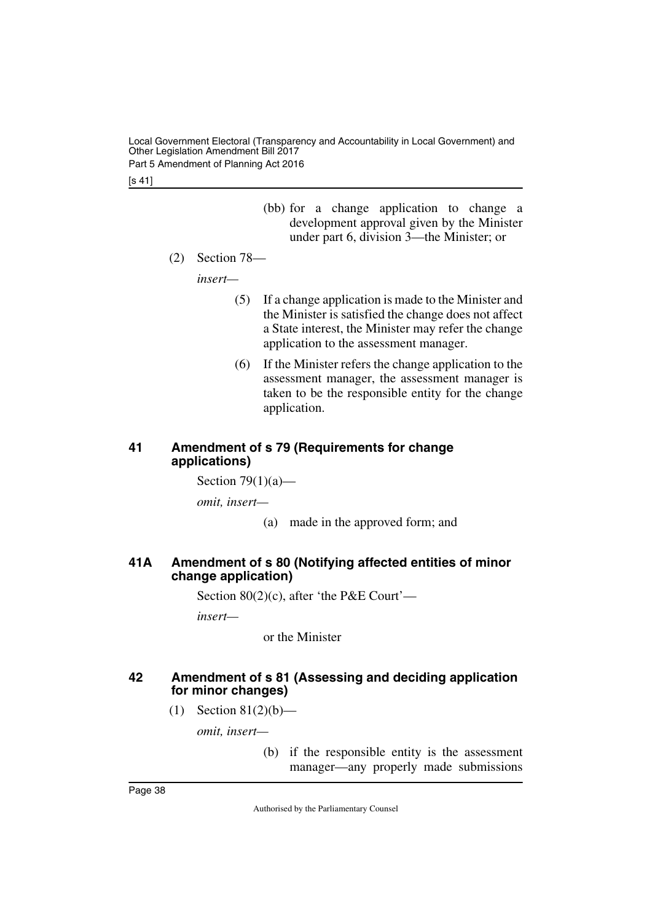Local Government Electoral (Transparency and Accountability in Local Government) and Other Legislation Amendment Bill 2017 Part 5 Amendment of Planning Act 2016

[s 41]

(bb) for a change application to change a development approval given by the Minister under part 6, division 3—the Minister; or

(2) Section 78—

*insert—*

- (5) If a change application is made to the Minister and the Minister is satisfied the change does not affect a State interest, the Minister may refer the change application to the assessment manager.
- (6) If the Minister refers the change application to the assessment manager, the assessment manager is taken to be the responsible entity for the change application.

# <span id="page-39-1"></span><span id="page-39-0"></span>**41 Amendment of s 79 (Requirements for change applications)**

Section  $79(1)(a)$ —

*omit, insert—*

(a) made in the approved form; and

# <span id="page-39-3"></span><span id="page-39-2"></span>**41A Amendment of s 80 (Notifying affected entities of minor change application)**

Section 80(2)(c), after 'the P&E Court'—

*insert—*

or the Minister

# <span id="page-39-5"></span><span id="page-39-4"></span>**42 Amendment of s 81 (Assessing and deciding application for minor changes)**

(1) Section  $81(2)(b)$ —

*omit, insert—*

(b) if the responsible entity is the assessment manager—any properly made submissions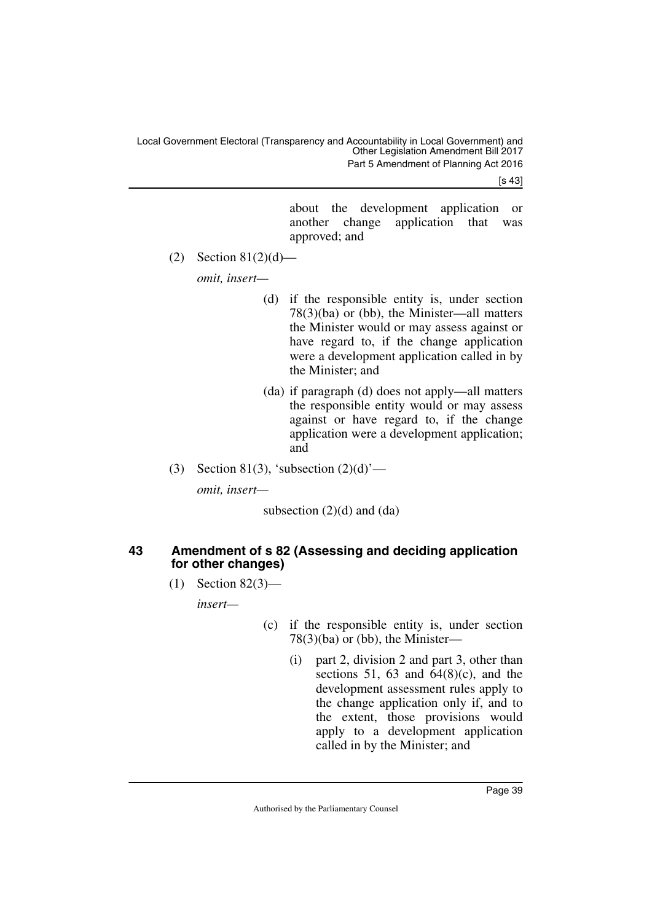[s 43]

about the development application or another change application that was approved; and

(2) Section  $81(2)(d)$ —

*omit, insert—*

- (d) if the responsible entity is, under section 78(3)(ba) or (bb), the Minister—all matters the Minister would or may assess against or have regard to, if the change application were a development application called in by the Minister; and
- (da) if paragraph (d) does not apply—all matters the responsible entity would or may assess against or have regard to, if the change application were a development application; and
- (3) Section 81(3), 'subsection  $(2)(d)$ '—

*omit, insert—*

subsection  $(2)(d)$  and  $(da)$ 

# <span id="page-40-1"></span><span id="page-40-0"></span>**43 Amendment of s 82 (Assessing and deciding application for other changes)**

(1) Section 82(3)—

*insert—*

- (c) if the responsible entity is, under section 78(3)(ba) or (bb), the Minister—
	- (i) part 2, division 2 and part 3, other than sections 51, 63 and  $64(8)(c)$ , and the development assessment rules apply to the change application only if, and to the extent, those provisions would apply to a development application called in by the Minister; and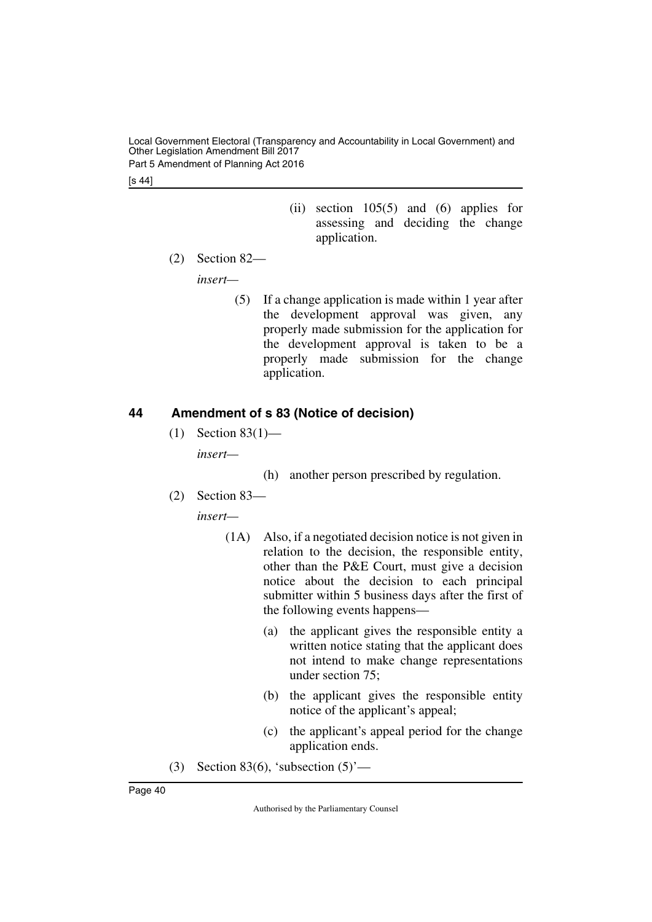Local Government Electoral (Transparency and Accountability in Local Government) and Other Legislation Amendment Bill 2017 Part 5 Amendment of Planning Act 2016

[s 44]

- (ii) section 105(5) and (6) applies for assessing and deciding the change application.
- (2) Section 82—

*insert—*

(5) If a change application is made within 1 year after the development approval was given, any properly made submission for the application for the development approval is taken to be a properly made submission for the change application.

# <span id="page-41-0"></span>**44 Amendment of s 83 (Notice of decision)**

- <span id="page-41-1"></span>(1) Section 83(1) *insert—*
	- (h) another person prescribed by regulation.
- (2) Section 83—

*insert—*

- (1A) Also, if a negotiated decision notice is not given in relation to the decision, the responsible entity, other than the P&E Court, must give a decision notice about the decision to each principal submitter within 5 business days after the first of the following events happens—
	- (a) the applicant gives the responsible entity a written notice stating that the applicant does not intend to make change representations under section 75;
	- (b) the applicant gives the responsible entity notice of the applicant's appeal;
	- (c) the applicant's appeal period for the change application ends.
- (3) Section 83(6), 'subsection  $(5)$ '—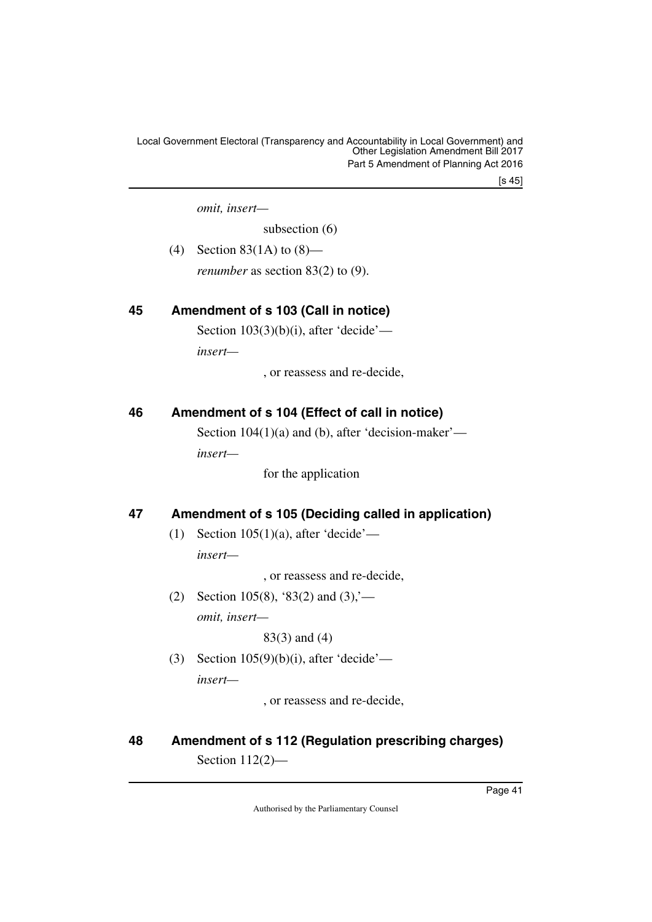[s 45]

*omit, insert—*

subsection (6)

(4) Section 83(1A) to (8)—

<span id="page-42-1"></span>*renumber* as section 83(2) to (9).

# <span id="page-42-0"></span>**45 Amendment of s 103 (Call in notice)**

Section  $103(3)(b)(i)$ , after 'decide'—

*insert—*

, or reassess and re-decide,

# <span id="page-42-2"></span>**46 Amendment of s 104 (Effect of call in notice)**

<span id="page-42-3"></span>Section 104(1)(a) and (b), after 'decision-maker' *insert—*

for the application

# <span id="page-42-4"></span>**47 Amendment of s 105 (Deciding called in application)**

<span id="page-42-5"></span>(1) Section  $105(1)(a)$ , after 'decide' *insert—*

, or reassess and re-decide,

(2) Section 105(8), '83(2) and  $(3)$ ,'*omit, insert—*

83(3) and (4)

(3) Section  $105(9)(b)(i)$ , after 'decide' *insert—*

, or reassess and re-decide,

# <span id="page-42-7"></span><span id="page-42-6"></span>**48 Amendment of s 112 (Regulation prescribing charges)** Section 112(2)—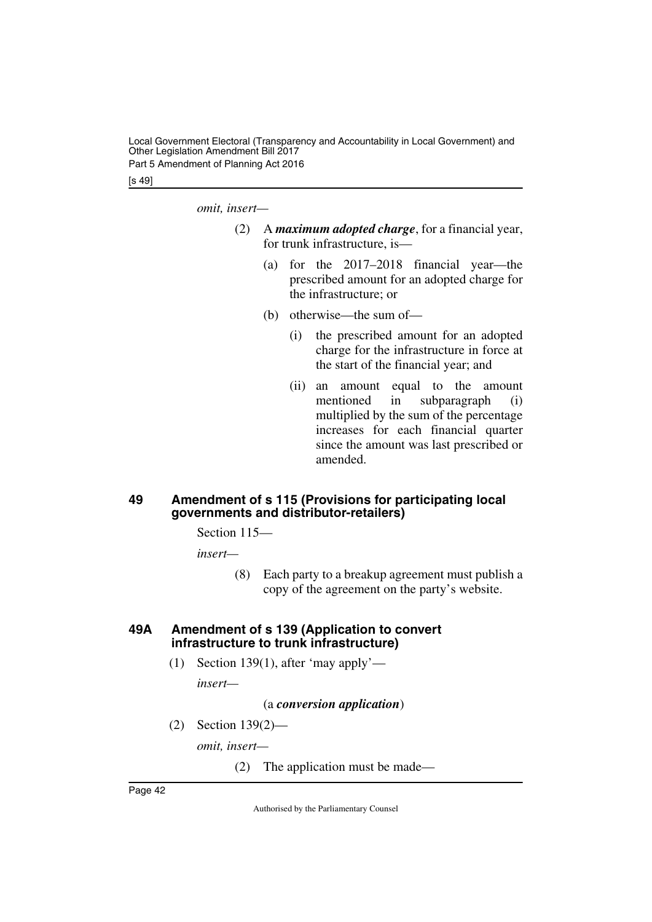Local Government Electoral (Transparency and Accountability in Local Government) and Other Legislation Amendment Bill 2017 Part 5 Amendment of Planning Act 2016

[s 49]

*omit, insert—*

- (2) A *maximum adopted charge*, for a financial year, for trunk infrastructure, is—
	- (a) for the 2017–2018 financial year—the prescribed amount for an adopted charge for the infrastructure; or
	- (b) otherwise—the sum of—
		- (i) the prescribed amount for an adopted charge for the infrastructure in force at the start of the financial year; and
		- (ii) an amount equal to the amount mentioned in subparagraph (i) multiplied by the sum of the percentage increases for each financial quarter since the amount was last prescribed or amended.

# <span id="page-43-1"></span><span id="page-43-0"></span>**49 Amendment of s 115 (Provisions for participating local governments and distributor-retailers)**

Section 115—

*insert—*

(8) Each party to a breakup agreement must publish a copy of the agreement on the party's website.

# <span id="page-43-3"></span><span id="page-43-2"></span>**49A Amendment of s 139 (Application to convert infrastructure to trunk infrastructure)**

(1) Section 139(1), after 'may apply'—

*insert—*

(a *conversion application*)

(2) Section 139(2)—

*omit, insert—*

(2) The application must be made—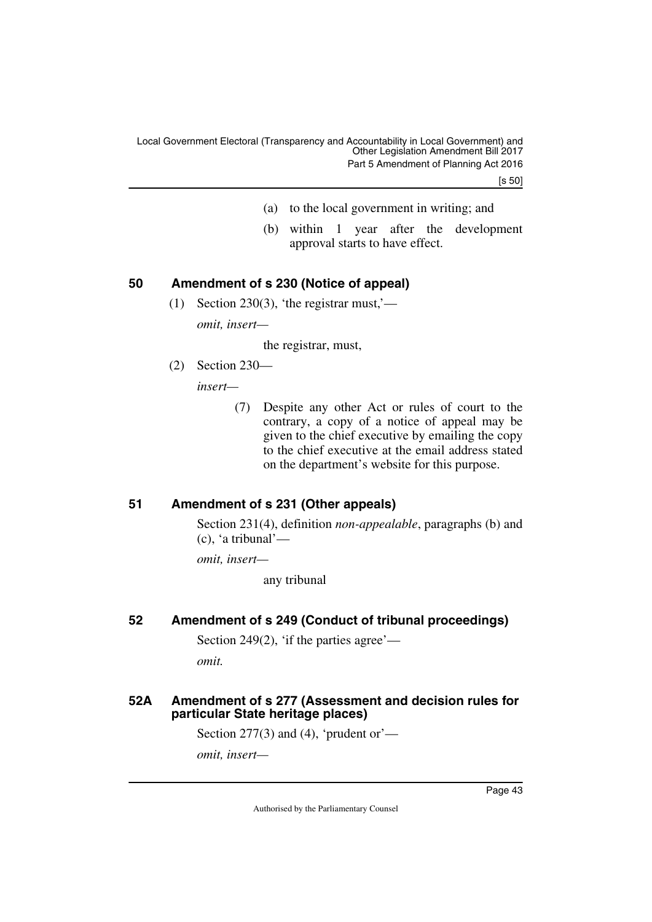[s 50]

- (a) to the local government in writing; and
- (b) within 1 year after the development approval starts to have effect.

# <span id="page-44-0"></span>**50 Amendment of s 230 (Notice of appeal)**

<span id="page-44-1"></span>(1) Section 230(3), 'the registrar must,' *omit, insert—*

the registrar, must,

(2) Section 230—

*insert—*

(7) Despite any other Act or rules of court to the contrary, a copy of a notice of appeal may be given to the chief executive by emailing the copy to the chief executive at the email address stated on the department's website for this purpose.

# <span id="page-44-2"></span>**51 Amendment of s 231 (Other appeals)**

<span id="page-44-3"></span>Section 231(4), definition *non-appealable*, paragraphs (b) and (c), 'a tribunal'—

*omit, insert—*

any tribunal

# <span id="page-44-4"></span>**52 Amendment of s 249 (Conduct of tribunal proceedings)**

<span id="page-44-5"></span>Section 249 $(2)$ , 'if the parties agree'—

<span id="page-44-7"></span>*omit.*

# <span id="page-44-6"></span>**52A Amendment of s 277 (Assessment and decision rules for particular State heritage places)**

Section 277(3) and (4), 'prudent or'—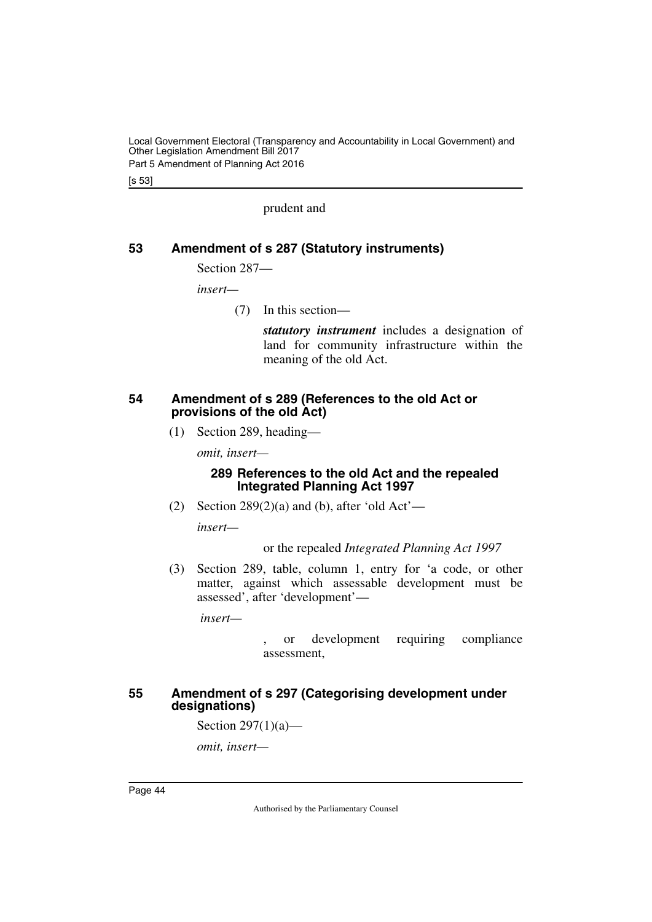Part 5 Amendment of Planning Act 2016

[s 53]

prudent and

# <span id="page-45-0"></span>**53 Amendment of s 287 (Statutory instruments)**

<span id="page-45-1"></span>Section 287—

*insert—*

(7) In this section—

*statutory instrument* includes a designation of land for community infrastructure within the meaning of the old Act.

#### <span id="page-45-2"></span>**54 Amendment of s 289 (References to the old Act or provisions of the old Act)**

<span id="page-45-3"></span>(1) Section 289, heading—

*omit, insert—*

# **289 References to the old Act and the repealed Integrated Planning Act 1997**

(2) Section  $289(2)(a)$  and (b), after 'old Act'—

*insert—*

# or the repealed *Integrated Planning Act 1997*

(3) Section 289, table, column 1, entry for 'a code, or other matter, against which assessable development must be assessed', after 'development'—

 *insert—*

or development requiring compliance assessment,

# <span id="page-45-5"></span><span id="page-45-4"></span>**55 Amendment of s 297 (Categorising development under designations)**

Section 297(1)(a)—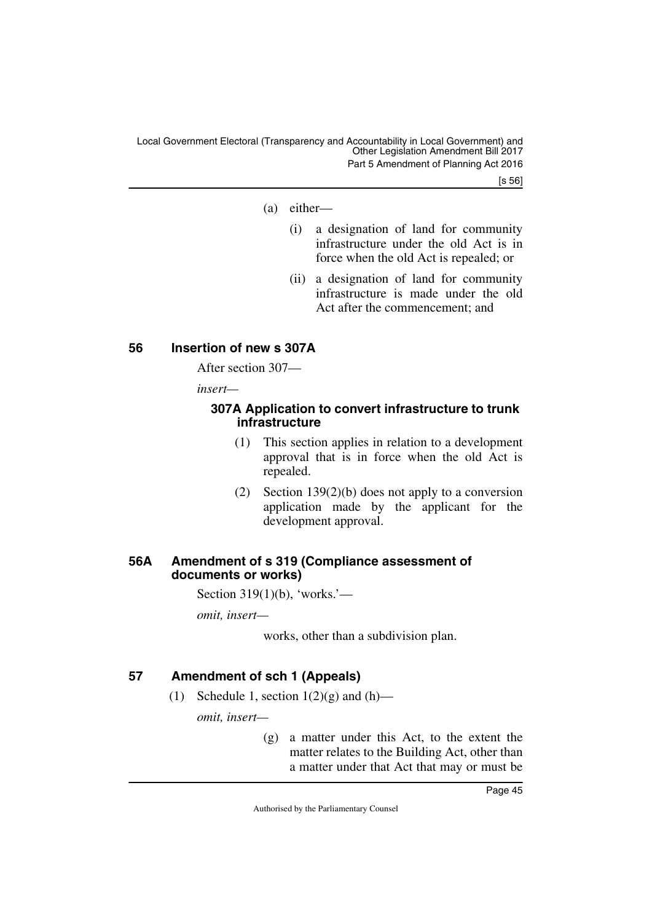Local Government Electoral (Transparency and Accountability in Local Government) and Other Legislation Amendment Bill 2017 Part 5 Amendment of Planning Act 2016

[s 56]

- (a) either—
	- (i) a designation of land for community infrastructure under the old Act is in force when the old Act is repealed; or
	- (ii) a designation of land for community infrastructure is made under the old Act after the commencement; and

# <span id="page-46-0"></span>**56 Insertion of new s 307A**

<span id="page-46-1"></span>After section 307—

*insert—*

# <span id="page-46-3"></span><span id="page-46-2"></span>**307A Application to convert infrastructure to trunk infrastructure**

- (1) This section applies in relation to a development approval that is in force when the old Act is repealed.
- (2) Section 139(2)(b) does not apply to a conversion application made by the applicant for the development approval.

# <span id="page-46-5"></span><span id="page-46-4"></span>**56A Amendment of s 319 (Compliance assessment of documents or works)**

Section 319(1)(b), 'works.'—

*omit, insert—*

works, other than a subdivision plan.

# <span id="page-46-6"></span>**57 Amendment of sch 1 (Appeals)**

<span id="page-46-7"></span>(1) Schedule 1, section  $1(2)(g)$  and  $(h)$ —

*omit, insert—*

(g) a matter under this Act, to the extent the matter relates to the Building Act, other than a matter under that Act that may or must be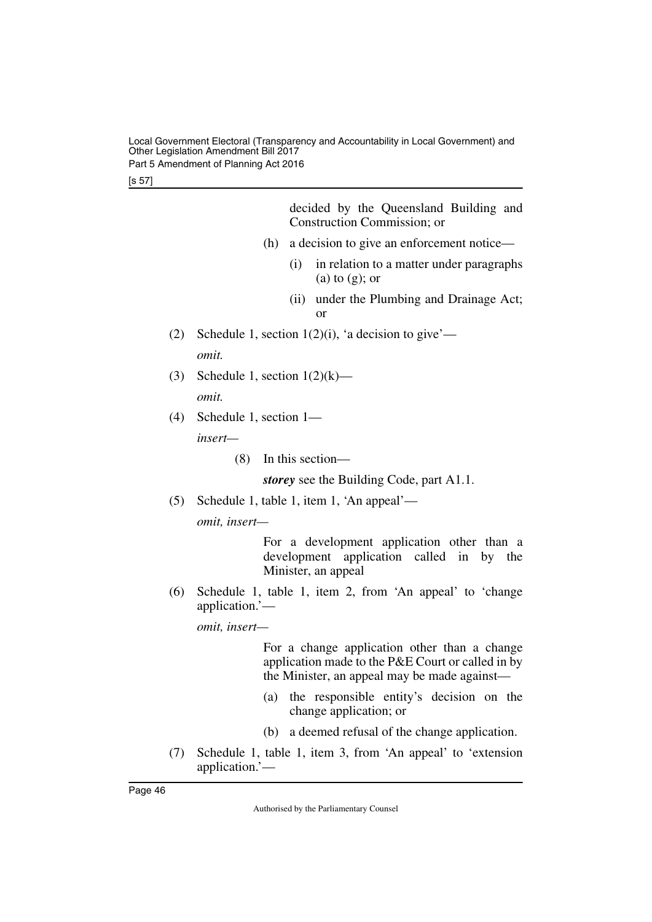Local Government Electoral (Transparency and Accountability in Local Government) and Other Legislation Amendment Bill 2017 Part 5 Amendment of Planning Act 2016

[s 57]

|     |                                 | decided by the Queensland Building and<br>Construction Commission; or                                                                             |
|-----|---------------------------------|---------------------------------------------------------------------------------------------------------------------------------------------------|
|     | (h)                             | a decision to give an enforcement notice—                                                                                                         |
|     |                                 | (i)<br>in relation to a matter under paragraphs<br>$(a)$ to $(g)$ ; or                                                                            |
|     |                                 | under the Plumbing and Drainage Act;<br>(ii)<br>$\alpha$                                                                                          |
| (2) |                                 | Schedule 1, section $1(2)(i)$ , 'a decision to give'—                                                                                             |
|     | omit.                           |                                                                                                                                                   |
| (3) | Schedule 1, section $1(2)(k)$ — |                                                                                                                                                   |
|     | omit.                           |                                                                                                                                                   |
| (4) | Schedule 1, section $1-$        |                                                                                                                                                   |
|     | insert—                         |                                                                                                                                                   |
|     | (8)                             | In this section—                                                                                                                                  |
|     |                                 | storey see the Building Code, part A1.1.                                                                                                          |
| (5) |                                 | Schedule 1, table 1, item 1, 'An appeal'—                                                                                                         |
|     | omit, insert-                   |                                                                                                                                                   |
|     |                                 | For a development application other than a<br>development application called in by the<br>Minister, an appeal                                     |
| (6) | application.'—                  | Schedule 1, table 1, item 2, from 'An appeal' to 'change                                                                                          |
|     | omit, insert-                   |                                                                                                                                                   |
|     |                                 | For a change application other than a change<br>application made to the P&E Court or called in by<br>the Minister, an appeal may be made against— |
|     |                                 |                                                                                                                                                   |

- (a) the responsible entity's decision on the change application; or
- (b) a deemed refusal of the change application.
- (7) Schedule 1, table 1, item 3, from 'An appeal' to 'extension application.'—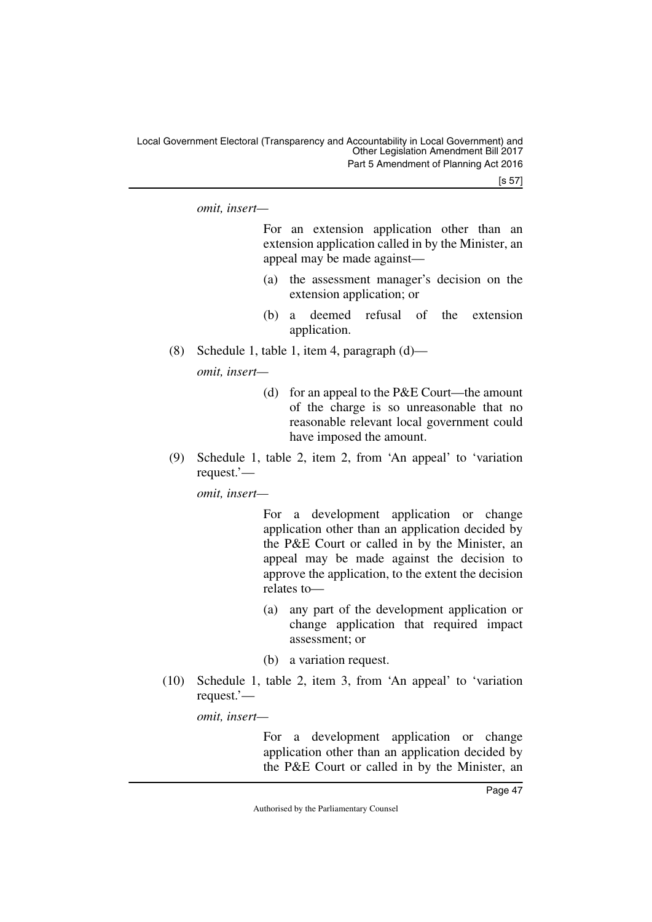[s 57]

*omit, insert—*

For an extension application other than an extension application called in by the Minister, an appeal may be made against—

- (a) the assessment manager's decision on the extension application; or
- (b) a deemed refusal of the extension application.
- (8) Schedule 1, table 1, item 4, paragraph (d)—

*omit, insert—*

- (d) for an appeal to the P&E Court—the amount of the charge is so unreasonable that no reasonable relevant local government could have imposed the amount.
- (9) Schedule 1, table 2, item 2, from 'An appeal' to 'variation request.'—

*omit, insert—*

For a development application or change application other than an application decided by the P&E Court or called in by the Minister, an appeal may be made against the decision to approve the application, to the extent the decision relates to—

- (a) any part of the development application or change application that required impact assessment; or
- (b) a variation request.
- (10) Schedule 1, table 2, item 3, from 'An appeal' to 'variation request.'—

*omit, insert—*

For a development application or change application other than an application decided by the P&E Court or called in by the Minister, an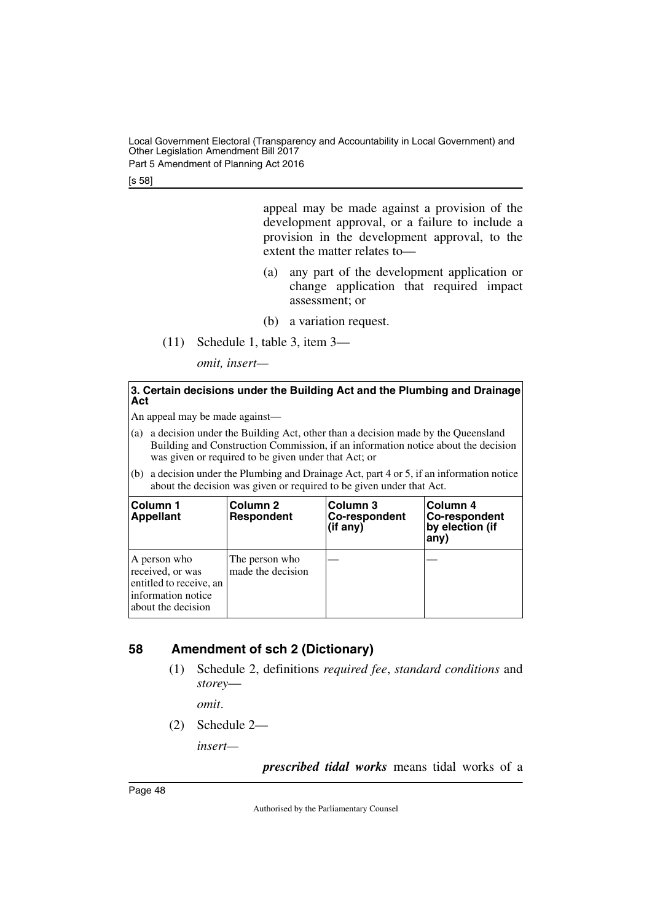Part 5 Amendment of Planning Act 2016

[s 58]

appeal may be made against a provision of the development approval, or a failure to include a provision in the development approval, to the extent the matter relates to—

- (a) any part of the development application or change application that required impact assessment; or
- (b) a variation request.
- (11) Schedule 1, table 3, item 3—

*omit, insert—*

#### **3. Certain decisions under the Building Act and the Plumbing and Drainage Act**

An appeal may be made against—

- (a) a decision under the Building Act, other than a decision made by the Queensland Building and Construction Commission, if an information notice about the decision was given or required to be given under that Act; or
- (b) a decision under the Plumbing and Drainage Act, part 4 or 5, if an information notice about the decision was given or required to be given under that Act.

| <b>IColumn 1</b><br>Appellant                                                                            | Column 2<br><b>Respondent</b>       | Column 3<br>Co-respondent<br>$(if$ any) | Column 4<br>Co-respondent<br>by election (if<br>any) |
|----------------------------------------------------------------------------------------------------------|-------------------------------------|-----------------------------------------|------------------------------------------------------|
| A person who<br>received, or was<br>entitled to receive, an<br>linformation notice<br>about the decision | The person who<br>made the decision |                                         |                                                      |

# <span id="page-49-0"></span>**58 Amendment of sch 2 (Dictionary)**

<span id="page-49-1"></span>(1) Schedule 2, definitions *required fee*, *standard conditions* and *storey*—

*omit*.

(2) Schedule 2—

*insert—*

*prescribed tidal works* means tidal works of a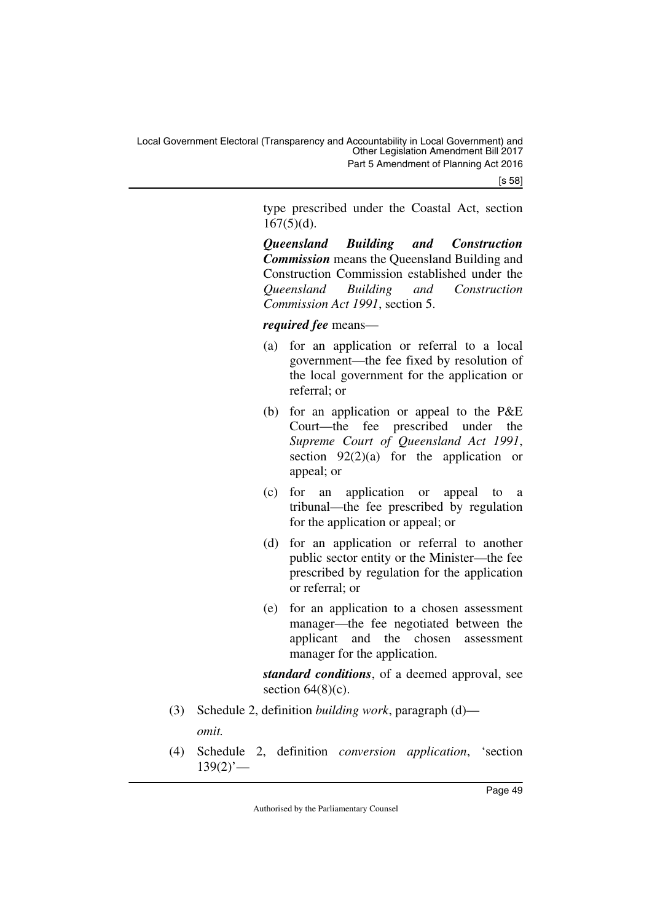[s 58]

type prescribed under the Coastal Act, section  $167(5)(d)$ .

*Queensland Building and Construction Commission* means the Queensland Building and Construction Commission established under the *Queensland Building and Construction Commission Act 1991*, section 5.

*required fee* means—

- (a) for an application or referral to a local government—the fee fixed by resolution of the local government for the application or referral; or
- (b) for an application or appeal to the P&E Court—the fee prescribed under the *Supreme Court of Queensland Act 1991*, section  $92(2)(a)$  for the application or appeal; or
- (c) for an application or appeal to a tribunal—the fee prescribed by regulation for the application or appeal; or
- (d) for an application or referral to another public sector entity or the Minister—the fee prescribed by regulation for the application or referral; or
- (e) for an application to a chosen assessment manager—the fee negotiated between the applicant and the chosen assessment manager for the application.

*standard conditions*, of a deemed approval, see section  $64(8)(c)$ .

- (3) Schedule 2, definition *building work*, paragraph (d) *omit.*
- (4) Schedule 2, definition *conversion application*, 'section  $139(2)$ <sup>'</sup>—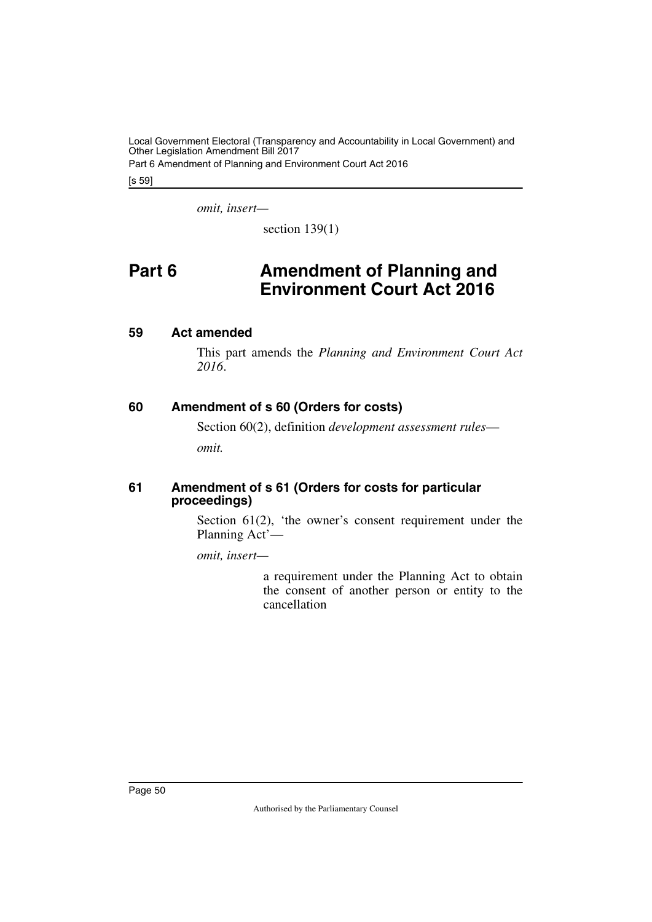Local Government Electoral (Transparency and Accountability in Local Government) and Other Legislation Amendment Bill 2017 Part 6 Amendment of Planning and Environment Court Act 2016

[s 59]

*omit, insert—*

<span id="page-51-1"></span>section  $139(1)$ 

# <span id="page-51-0"></span>**Part 6 Amendment of Planning and Environment Court Act 2016**

# <span id="page-51-2"></span>**59 Act amended**

<span id="page-51-3"></span>This part amends the *Planning and Environment Court Act 2016*.

# <span id="page-51-4"></span>**60 Amendment of s 60 (Orders for costs)**

<span id="page-51-5"></span>Section 60(2), definition *development assessment rules omit.*

# <span id="page-51-7"></span><span id="page-51-6"></span>**61 Amendment of s 61 (Orders for costs for particular proceedings)**

Section 61(2), 'the owner's consent requirement under the Planning Act'—

*omit, insert—*

a requirement under the Planning Act to obtain the consent of another person or entity to the cancellation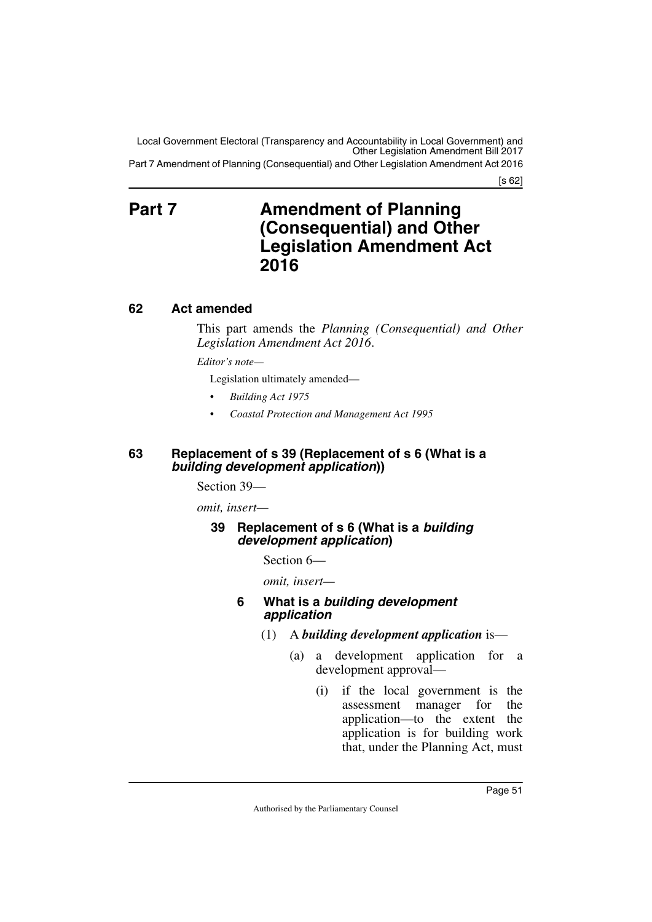Part 7 Amendment of Planning (Consequential) and Other Legislation Amendment Act 2016

[s 62]

# <span id="page-52-1"></span><span id="page-52-0"></span>**Part 7 Amendment of Planning (Consequential) and Other Legislation Amendment Act 2016**

# <span id="page-52-2"></span>**62 Act amended**

<span id="page-52-3"></span>This part amends the *Planning (Consequential) and Other Legislation Amendment Act 2016*.

*Editor's note—*

Legislation ultimately amended—

- *Building Act 1975*
- *Coastal Protection and Management Act 1995*

# <span id="page-52-5"></span><span id="page-52-4"></span>**63 Replacement of s 39 (Replacement of s 6 (What is a**  *building development application***))**

Section 39—

*omit, insert—*

# <span id="page-52-7"></span><span id="page-52-6"></span>**39 Replacement of s 6 (What is a** *building development application***)**

Section 6—

*omit, insert—*

# **6 What is a** *building development application*

- (1) A *building development application* is—
	- (a) a development application for a development approval—
		- (i) if the local government is the assessment manager for the application—to the extent the application is for building work that, under the Planning Act, must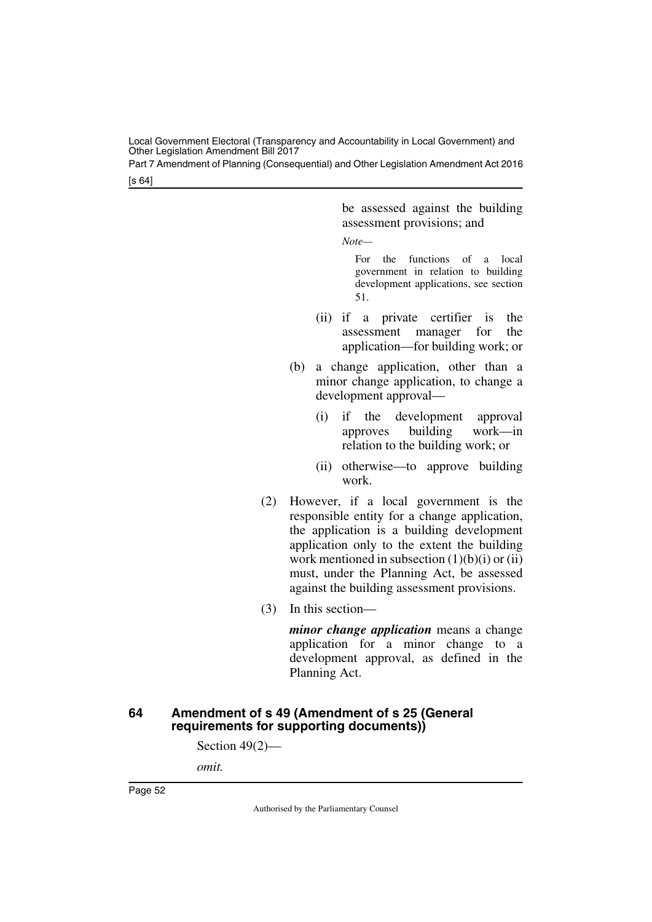Part 7 Amendment of Planning (Consequential) and Other Legislation Amendment Act 2016

[s 64]

be assessed against the building assessment provisions; and

*Note—*

For the functions of a local government in relation to building development applications, see section 51.

- (ii) if a private certifier is the assessment manager for the application—for building work; or
- (b) a change application, other than a minor change application, to change a development approval—
	- (i) if the development approval approves building work—in relation to the building work; or
	- (ii) otherwise—to approve building work.
- (2) However, if a local government is the responsible entity for a change application, the application is a building development application only to the extent the building work mentioned in subsection (1)(b)(i) or (ii) must, under the Planning Act, be assessed against the building assessment provisions.
- (3) In this section—

*minor change application* means a change application for a minor change to a development approval, as defined in the Planning Act.

# <span id="page-53-1"></span><span id="page-53-0"></span>**64 Amendment of s 49 (Amendment of s 25 (General requirements for supporting documents))**

Section 49(2)—

*omit.*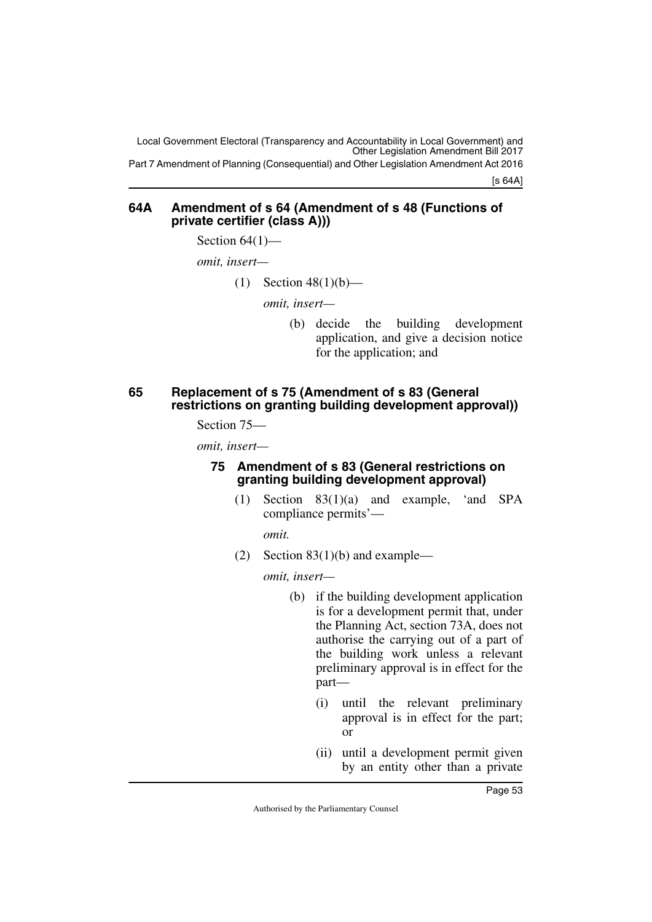Local Government Electoral (Transparency and Accountability in Local Government) and Other Legislation Amendment Bill 2017 Part 7 Amendment of Planning (Consequential) and Other Legislation Amendment Act 2016

[s 64A]

# <span id="page-54-1"></span><span id="page-54-0"></span>**64A Amendment of s 64 (Amendment of s 48 (Functions of private certifier (class A)))**

Section  $64(1)$ —

*omit, insert—*

(1) Section  $48(1)(b)$ —

*omit, insert—*

(b) decide the building development application, and give a decision notice for the application; and

# <span id="page-54-3"></span><span id="page-54-2"></span>**65 Replacement of s 75 (Amendment of s 83 (General restrictions on granting building development approval))**

Section 75—

*omit, insert—*

# <span id="page-54-5"></span><span id="page-54-4"></span>**75 Amendment of s 83 (General restrictions on granting building development approval)**

(1) Section 83(1)(a) and example, 'and SPA compliance permits'—

*omit.*

(2) Section  $83(1)(b)$  and example—

- (b) if the building development application is for a development permit that, under the Planning Act, section 73A, does not authorise the carrying out of a part of the building work unless a relevant preliminary approval is in effect for the part—
	- (i) until the relevant preliminary approval is in effect for the part; or
	- (ii) until a development permit given by an entity other than a private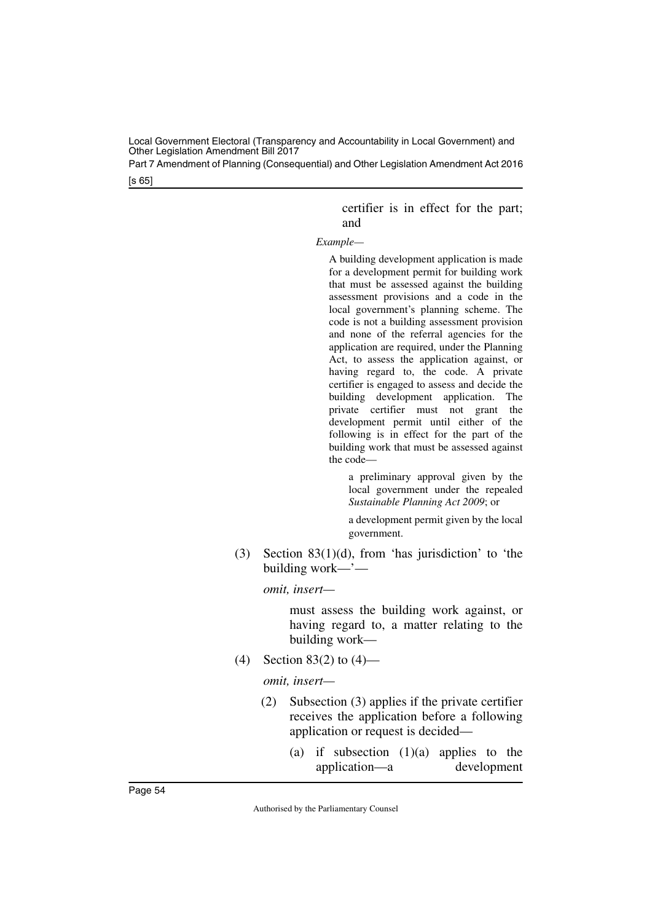Part 7 Amendment of Planning (Consequential) and Other Legislation Amendment Act 2016

[s 65]

certifier is in effect for the part; and

#### *Example—*

A building development application is made for a development permit for building work that must be assessed against the building assessment provisions and a code in the local government's planning scheme. The code is not a building assessment provision and none of the referral agencies for the application are required, under the Planning Act, to assess the application against, or having regard to, the code. A private certifier is engaged to assess and decide the building development application. The private certifier must not grant the development permit until either of the following is in effect for the part of the building work that must be assessed against the code—

a preliminary approval given by the local government under the repealed *Sustainable Planning Act 2009*; or

a development permit given by the local government.

(3) Section 83(1)(d), from 'has jurisdiction' to 'the building work—'—

*omit, insert—*

must assess the building work against, or having regard to, a matter relating to the building work—

(4) Section 83(2) to (4)—

- (2) Subsection (3) applies if the private certifier receives the application before a following application or request is decided—
	- (a) if subsection  $(1)(a)$  applies to the application—a development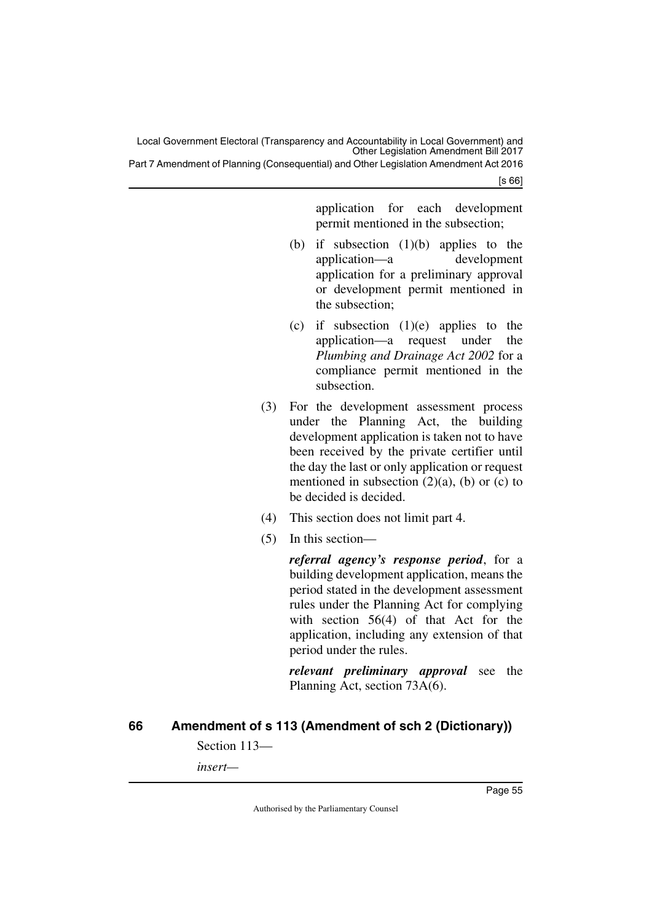Part 7 Amendment of Planning (Consequential) and Other Legislation Amendment Act 2016

[s 66]

application for each development permit mentioned in the subsection;

- (b) if subsection  $(1)(b)$  applies to the application—a development application for a preliminary approval or development permit mentioned in the subsection;
- (c) if subsection  $(1)(e)$  applies to the application—a request under the *Plumbing and Drainage Act 2002* for a compliance permit mentioned in the subsection.
- (3) For the development assessment process under the Planning Act, the building development application is taken not to have been received by the private certifier until the day the last or only application or request mentioned in subsection  $(2)(a)$ ,  $(b)$  or  $(c)$  to be decided is decided.
- (4) This section does not limit part 4.
- (5) In this section—

*referral agency's response period*, for a building development application, means the period stated in the development assessment rules under the Planning Act for complying with section 56(4) of that Act for the application, including any extension of that period under the rules.

*relevant preliminary approval* see the Planning Act, section 73A(6).

# <span id="page-56-0"></span>**66 Amendment of s 113 (Amendment of sch 2 (Dictionary))**

<span id="page-56-1"></span>Section 113—

*insert—*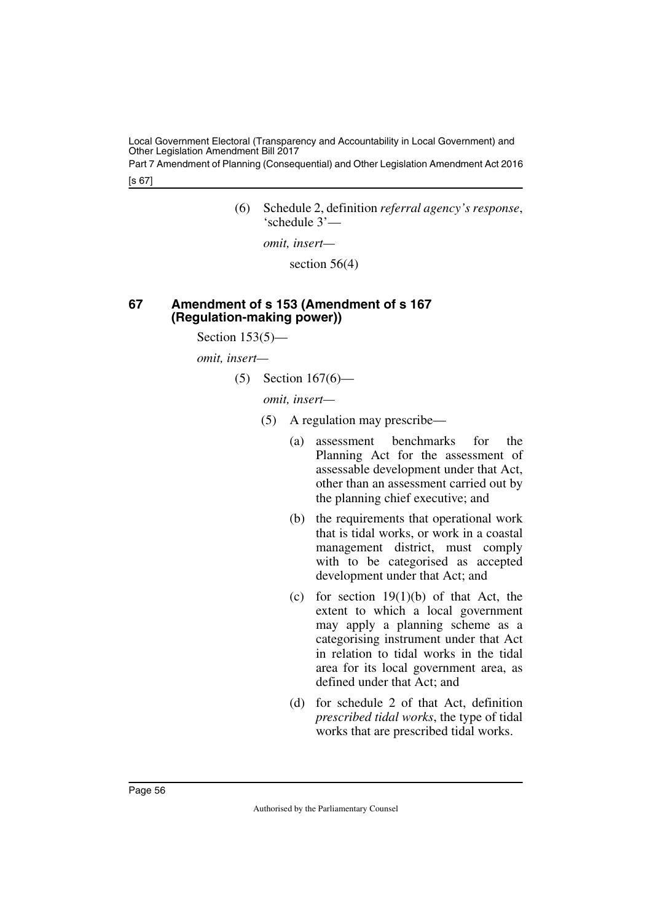Part 7 Amendment of Planning (Consequential) and Other Legislation Amendment Act 2016

[s 67]

(6) Schedule 2, definition *referral agency's response*, 'schedule 3'—

*omit, insert—*

section 56(4)

# <span id="page-57-1"></span><span id="page-57-0"></span>**67 Amendment of s 153 (Amendment of s 167 (Regulation-making power))**

Section  $153(5)$ —

*omit, insert—*

(5) Section 167(6)—

- (5) A regulation may prescribe—
	- (a) assessment benchmarks for the Planning Act for the assessment of assessable development under that Act, other than an assessment carried out by the planning chief executive; and
	- (b) the requirements that operational work that is tidal works, or work in a coastal management district, must comply with to be categorised as accepted development under that Act; and
	- (c) for section  $19(1)(b)$  of that Act, the extent to which a local government may apply a planning scheme as a categorising instrument under that Act in relation to tidal works in the tidal area for its local government area, as defined under that Act; and
	- (d) for schedule 2 of that Act, definition *prescribed tidal works*, the type of tidal works that are prescribed tidal works.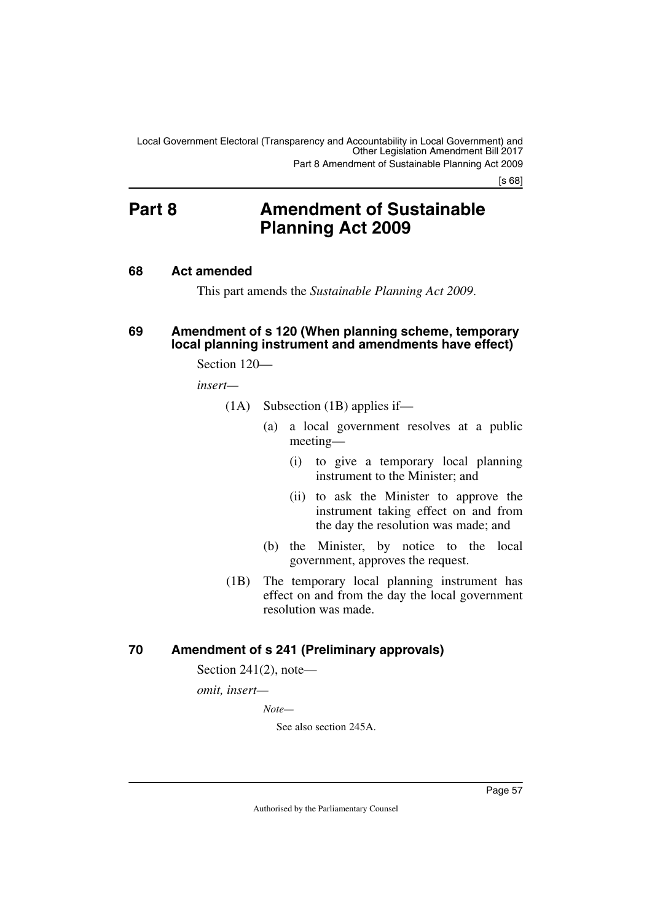[s 68]

# <span id="page-58-0"></span>**Part 8 Amendment of Sustainable Planning Act 2009**

# <span id="page-58-2"></span>**68 Act amended**

<span id="page-58-5"></span><span id="page-58-3"></span><span id="page-58-1"></span>This part amends the *Sustainable Planning Act 2009*.

#### <span id="page-58-4"></span>**69 Amendment of s 120 (When planning scheme, temporary local planning instrument and amendments have effect)**

Section 120—

*insert—*

- (1A) Subsection (1B) applies if—
	- (a) a local government resolves at a public meeting—
		- (i) to give a temporary local planning instrument to the Minister; and
		- (ii) to ask the Minister to approve the instrument taking effect on and from the day the resolution was made; and
	- (b) the Minister, by notice to the local government, approves the request.
- (1B) The temporary local planning instrument has effect on and from the day the local government resolution was made.

# <span id="page-58-6"></span>**70 Amendment of s 241 (Preliminary approvals)**

<span id="page-58-7"></span>Section  $241(2)$ , note—

*omit, insert—*

*Note—*

See also section 245A.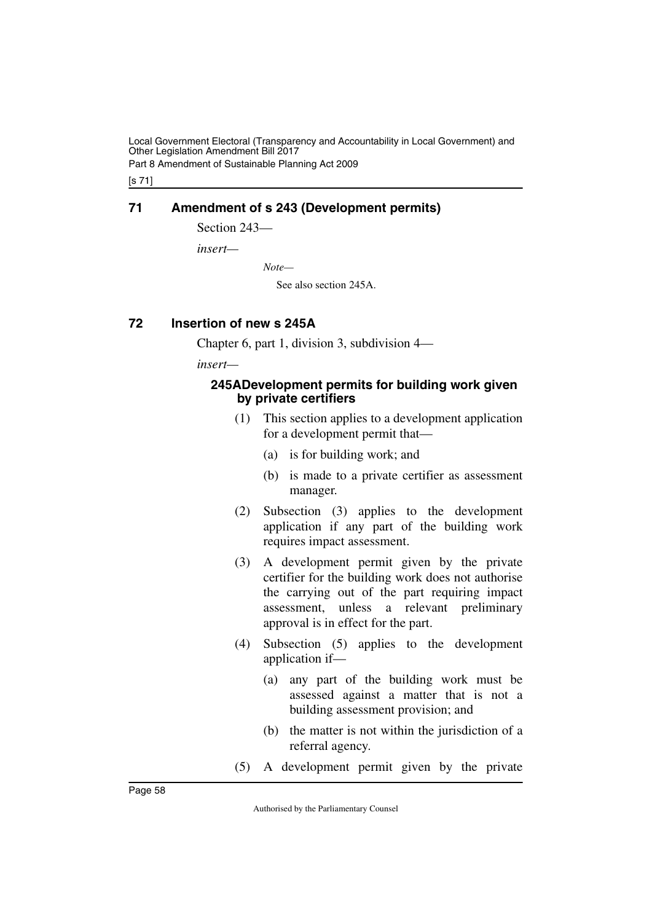Part 8 Amendment of Sustainable Planning Act 2009

[s 71]

# <span id="page-59-0"></span>**71 Amendment of s 243 (Development permits)**

<span id="page-59-1"></span>Section 243-

*insert—*

*Note—*

See also section 245A.

# <span id="page-59-2"></span>**72 Insertion of new s 245A**

<span id="page-59-3"></span>Chapter 6, part 1, division 3, subdivision 4—

*insert—*

# <span id="page-59-5"></span><span id="page-59-4"></span>**245ADevelopment permits for building work given by private certifiers**

- (1) This section applies to a development application for a development permit that—
	- (a) is for building work; and
	- (b) is made to a private certifier as assessment manager.
- (2) Subsection (3) applies to the development application if any part of the building work requires impact assessment.
- (3) A development permit given by the private certifier for the building work does not authorise the carrying out of the part requiring impact assessment, unless a relevant preliminary approval is in effect for the part.
- (4) Subsection (5) applies to the development application if—
	- (a) any part of the building work must be assessed against a matter that is not a building assessment provision; and
	- (b) the matter is not within the jurisdiction of a referral agency.
- (5) A development permit given by the private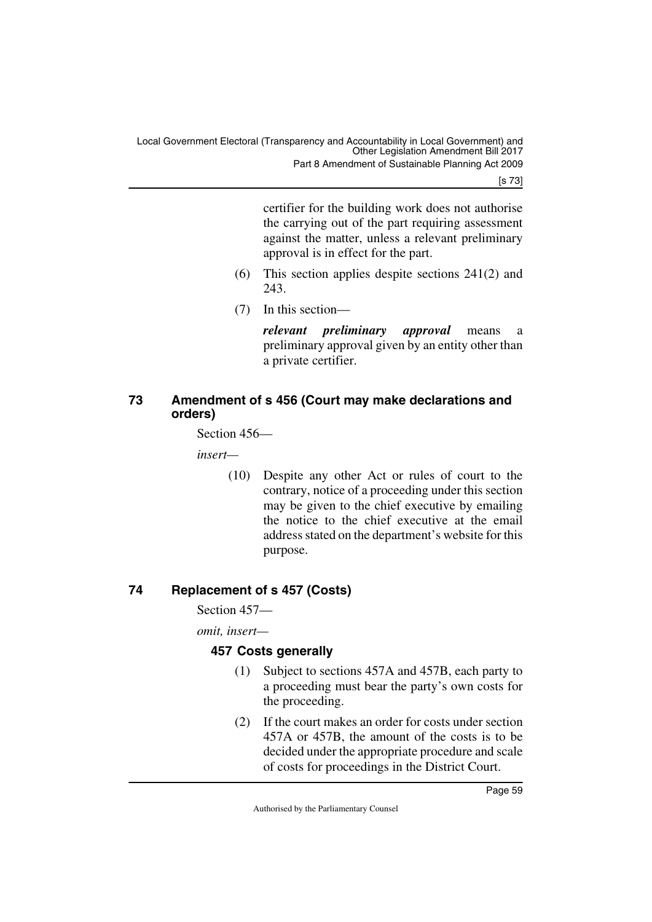Part 8 Amendment of Sustainable Planning Act 2009

[s 73]

certifier for the building work does not authorise the carrying out of the part requiring assessment against the matter, unless a relevant preliminary approval is in effect for the part.

- (6) This section applies despite sections 241(2) and 243.
- (7) In this section—

*relevant preliminary approval* means a preliminary approval given by an entity other than a private certifier.

# <span id="page-60-1"></span><span id="page-60-0"></span>**73 Amendment of s 456 (Court may make declarations and orders)**

Section 456—

*insert—*

(10) Despite any other Act or rules of court to the contrary, notice of a proceeding under this section may be given to the chief executive by emailing the notice to the chief executive at the email address stated on the department's website for this purpose.

# <span id="page-60-2"></span>**74 Replacement of s 457 (Costs)**

<span id="page-60-3"></span>Section 457—

*omit, insert—*

# <span id="page-60-5"></span><span id="page-60-4"></span>**457 Costs generally**

- (1) Subject to sections 457A and 457B, each party to a proceeding must bear the party's own costs for the proceeding.
- (2) If the court makes an order for costs under section 457A or 457B, the amount of the costs is to be decided under the appropriate procedure and scale of costs for proceedings in the District Court.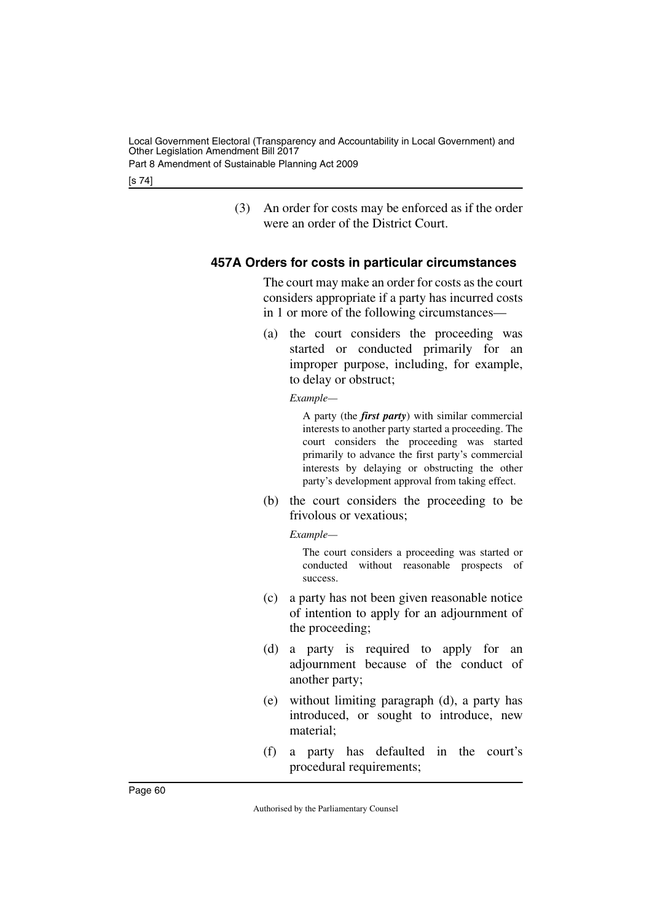Part 8 Amendment of Sustainable Planning Act 2009

[s 74]

(3) An order for costs may be enforced as if the order were an order of the District Court.

# <span id="page-61-0"></span>**457A Orders for costs in particular circumstances**

<span id="page-61-1"></span>The court may make an order for costs as the court considers appropriate if a party has incurred costs in 1 or more of the following circumstances—

(a) the court considers the proceeding was started or conducted primarily for an improper purpose, including, for example, to delay or obstruct;

*Example—*

A party (the *first party*) with similar commercial interests to another party started a proceeding. The court considers the proceeding was started primarily to advance the first party's commercial interests by delaying or obstructing the other party's development approval from taking effect.

(b) the court considers the proceeding to be frivolous or vexatious;

*Example—*

The court considers a proceeding was started or conducted without reasonable prospects of success.

- (c) a party has not been given reasonable notice of intention to apply for an adjournment of the proceeding;
- (d) a party is required to apply for an adjournment because of the conduct of another party;
- (e) without limiting paragraph (d), a party has introduced, or sought to introduce, new material;
- (f) a party has defaulted in the court's procedural requirements;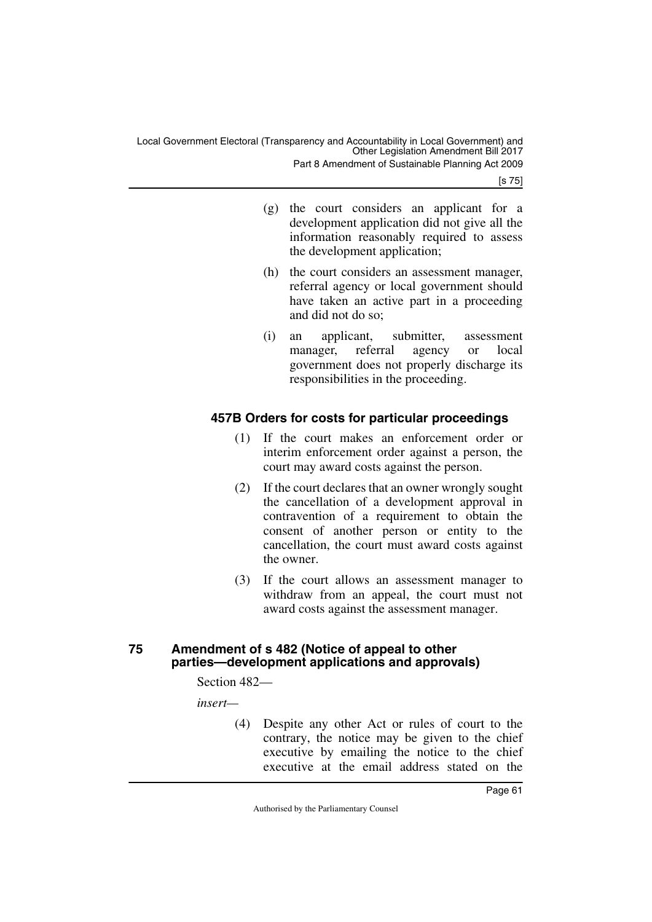[s 75]

- (g) the court considers an applicant for a development application did not give all the information reasonably required to assess the development application;
- (h) the court considers an assessment manager, referral agency or local government should have taken an active part in a proceeding and did not do so;
- (i) an applicant, submitter, assessment manager, referral agency or local government does not properly discharge its responsibilities in the proceeding.

# <span id="page-62-0"></span>**457B Orders for costs for particular proceedings**

- <span id="page-62-1"></span>(1) If the court makes an enforcement order or interim enforcement order against a person, the court may award costs against the person.
- (2) If the court declares that an owner wrongly sought the cancellation of a development approval in contravention of a requirement to obtain the consent of another person or entity to the cancellation, the court must award costs against the owner.
- (3) If the court allows an assessment manager to withdraw from an appeal, the court must not award costs against the assessment manager.

# <span id="page-62-3"></span><span id="page-62-2"></span>**75 Amendment of s 482 (Notice of appeal to other parties—development applications and approvals)**

Section 482—

*insert—*

(4) Despite any other Act or rules of court to the contrary, the notice may be given to the chief executive by emailing the notice to the chief executive at the email address stated on the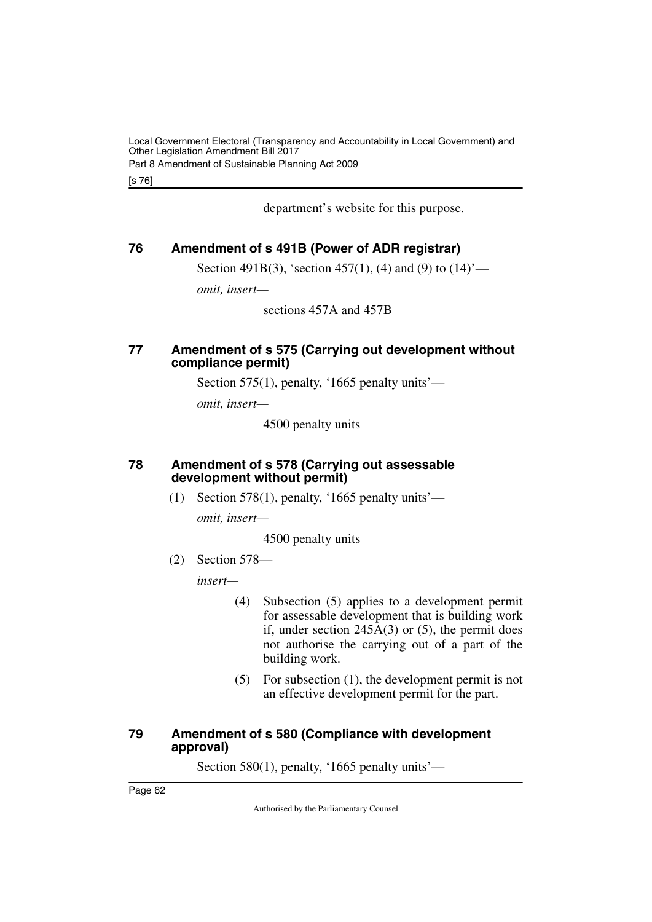[s 76]

department's website for this purpose.

# <span id="page-63-0"></span>**76 Amendment of s 491B (Power of ADR registrar)**

<span id="page-63-1"></span>Section 491B(3), 'section 457(1), (4) and (9) to  $(14)$ '—

*omit, insert—*

sections 457A and 457B

# <span id="page-63-3"></span><span id="page-63-2"></span>**77 Amendment of s 575 (Carrying out development without compliance permit)**

Section 575(1), penalty, '1665 penalty units'—

*omit, insert—*

4500 penalty units

# <span id="page-63-4"></span>**78 Amendment of s 578 (Carrying out assessable development without permit)**

<span id="page-63-5"></span>(1) Section 578(1), penalty, '1665 penalty units'—

*omit, insert—*

4500 penalty units

(2) Section 578—

*insert—*

- (4) Subsection (5) applies to a development permit for assessable development that is building work if, under section  $245A(3)$  or (5), the permit does not authorise the carrying out of a part of the building work.
- (5) For subsection (1), the development permit is not an effective development permit for the part.

# <span id="page-63-7"></span><span id="page-63-6"></span>**79 Amendment of s 580 (Compliance with development approval)**

Section 580(1), penalty, '1665 penalty units'—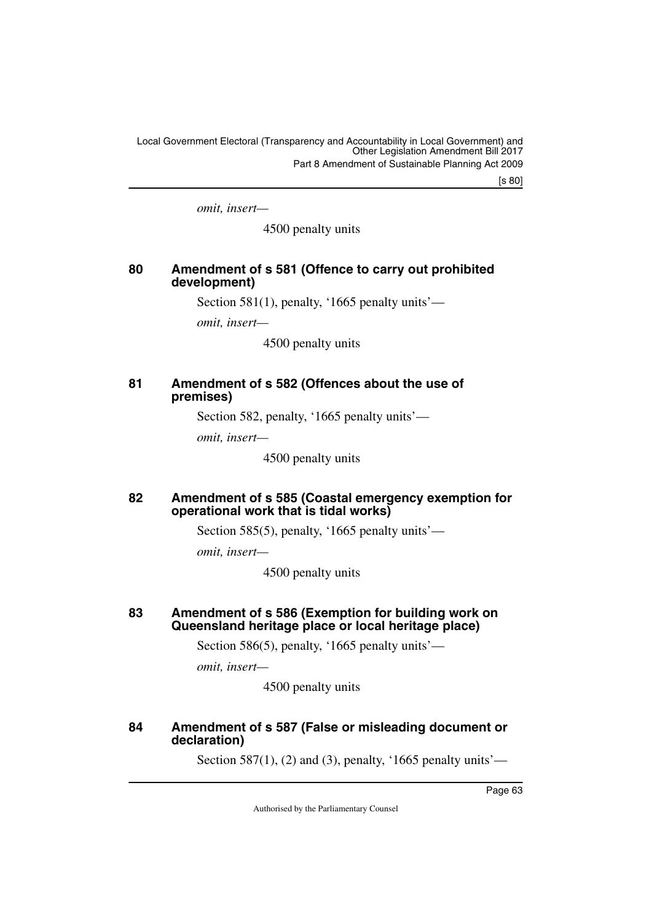[s 80]

*omit, insert—*

4500 penalty units

# <span id="page-64-1"></span><span id="page-64-0"></span>**80 Amendment of s 581 (Offence to carry out prohibited development)**

Section 581(1), penalty, '1665 penalty units'—

*omit, insert—*

4500 penalty units

# <span id="page-64-3"></span><span id="page-64-2"></span>**81 Amendment of s 582 (Offences about the use of premises)**

Section 582, penalty, '1665 penalty units'—

*omit, insert—*

4500 penalty units

# <span id="page-64-5"></span><span id="page-64-4"></span>**82 Amendment of s 585 (Coastal emergency exemption for operational work that is tidal works)**

Section 585(5), penalty, '1665 penalty units'—

*omit, insert—*

4500 penalty units

# <span id="page-64-7"></span><span id="page-64-6"></span>**83 Amendment of s 586 (Exemption for building work on Queensland heritage place or local heritage place)**

Section 586(5), penalty, '1665 penalty units'—

*omit, insert—*

4500 penalty units

# <span id="page-64-9"></span><span id="page-64-8"></span>**84 Amendment of s 587 (False or misleading document or declaration)**

Section 587(1), (2) and (3), penalty, '1665 penalty units'—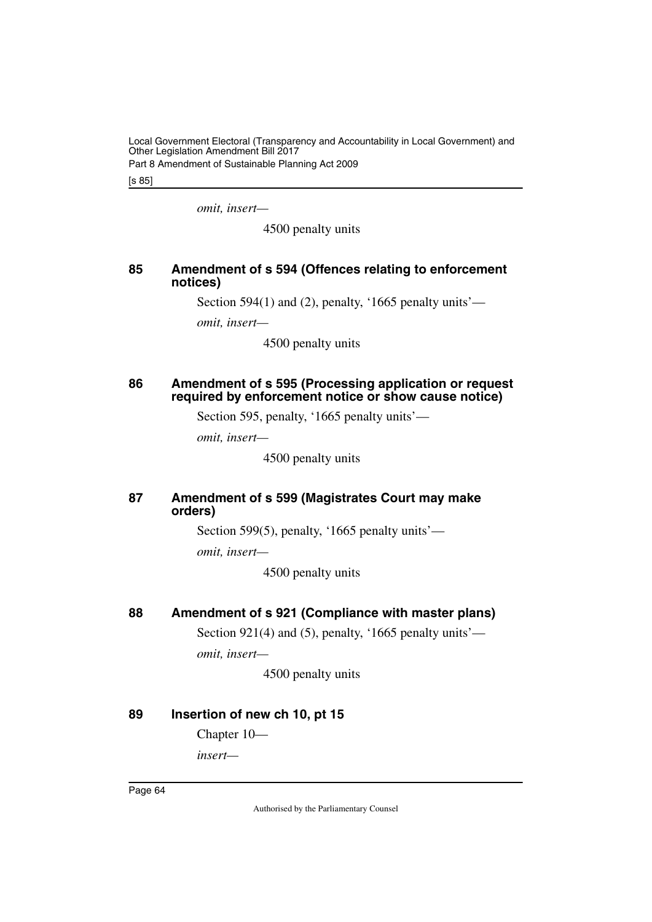Part 8 Amendment of Sustainable Planning Act 2009

[s 85]

*omit, insert—*

4500 penalty units

# <span id="page-65-1"></span><span id="page-65-0"></span>**85 Amendment of s 594 (Offences relating to enforcement notices)**

Section 594(1) and (2), penalty, '1665 penalty units'—

*omit, insert—*

4500 penalty units

# <span id="page-65-3"></span><span id="page-65-2"></span>**86 Amendment of s 595 (Processing application or request required by enforcement notice or show cause notice)**

Section 595, penalty, '1665 penalty units'—

*omit, insert—*

4500 penalty units

# <span id="page-65-5"></span><span id="page-65-4"></span>**87 Amendment of s 599 (Magistrates Court may make orders)**

Section 599(5), penalty, '1665 penalty units'—

*omit, insert—*

4500 penalty units

# <span id="page-65-6"></span>**88 Amendment of s 921 (Compliance with master plans)**

<span id="page-65-7"></span>Section 921(4) and (5), penalty, '1665 penalty units' *omit, insert—*

4500 penalty units

# <span id="page-65-8"></span>**89 Insertion of new ch 10, pt 15**

<span id="page-65-9"></span>Chapter 10—

*insert—*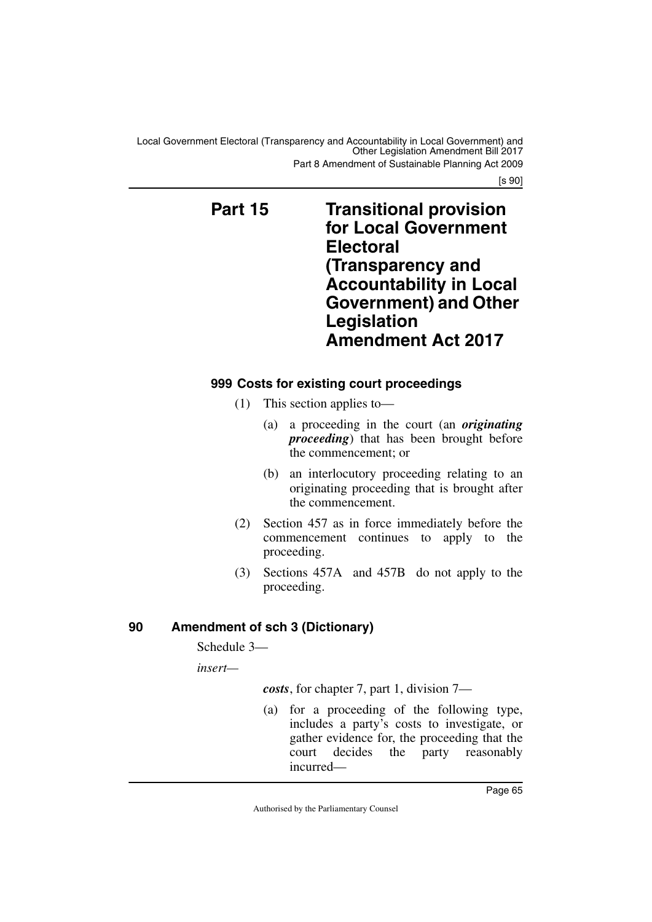<span id="page-66-1"></span>Part 8 Amendment of Sustainable Planning Act 2009

[s 90]

# <span id="page-66-0"></span>**Part 15 Transitional provision for Local Government Electoral (Transparency and Accountability in Local Government) and Other Legislation Amendment Act 2017**

# <span id="page-66-3"></span><span id="page-66-2"></span>**999 Costs for existing court proceedings**

- (1) This section applies to—
	- (a) a proceeding in the court (an *originating proceeding*) that has been brought before the commencement; or
	- (b) an interlocutory proceeding relating to an originating proceeding that is brought after the commencement.
- (2) Section 457 as in force immediately before the commencement continues to apply to the proceeding.
- (3) Sections 457A and 457B do not apply to the proceeding.

# <span id="page-66-4"></span>**90 Amendment of sch 3 (Dictionary)**

<span id="page-66-5"></span>Schedule 3—

*insert—*

*costs*, for chapter 7, part 1, division 7—

(a) for a proceeding of the following type, includes a party's costs to investigate, or gather evidence for, the proceeding that the court decides the party reasonably incurred—